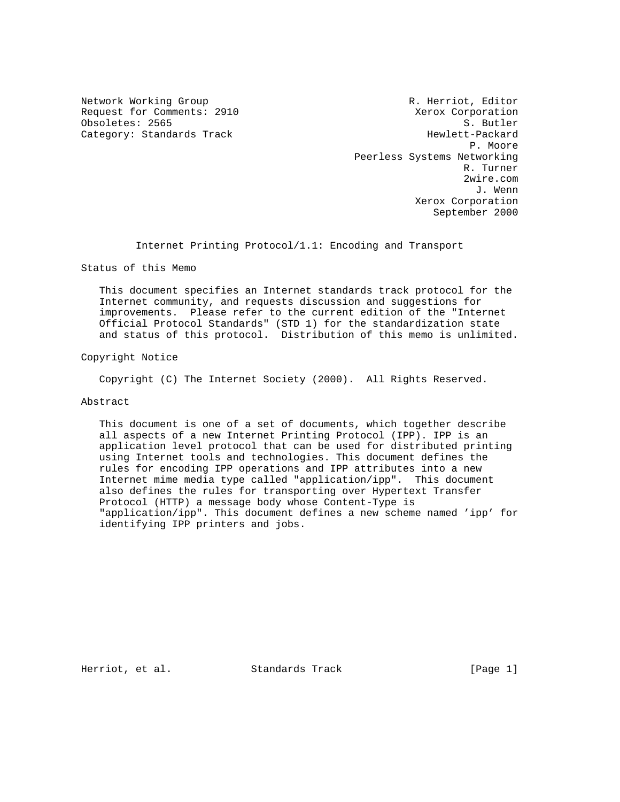Request for Comments: 2910 <br>
Obsoletes: 2565 <br>
S. Butler Obsoletes: 2565

Network Working Group and Months and Months R. Herriot, Editor Category: Standards Track Hewlett-Packard P. Moore Peerless Systems Networking R. Turner 2wire.com J. Wenn Xerox Corporation September 2000

Internet Printing Protocol/1.1: Encoding and Transport

Status of this Memo

 This document specifies an Internet standards track protocol for the Internet community, and requests discussion and suggestions for improvements. Please refer to the current edition of the "Internet Official Protocol Standards" (STD 1) for the standardization state and status of this protocol. Distribution of this memo is unlimited.

Copyright Notice

Copyright (C) The Internet Society (2000). All Rights Reserved.

Abstract

 This document is one of a set of documents, which together describe all aspects of a new Internet Printing Protocol (IPP). IPP is an application level protocol that can be used for distributed printing using Internet tools and technologies. This document defines the rules for encoding IPP operations and IPP attributes into a new Internet mime media type called "application/ipp". This document also defines the rules for transporting over Hypertext Transfer Protocol (HTTP) a message body whose Content-Type is "application/ipp". This document defines a new scheme named 'ipp' for identifying IPP printers and jobs.

Herriot, et al. Standards Track [Page 1]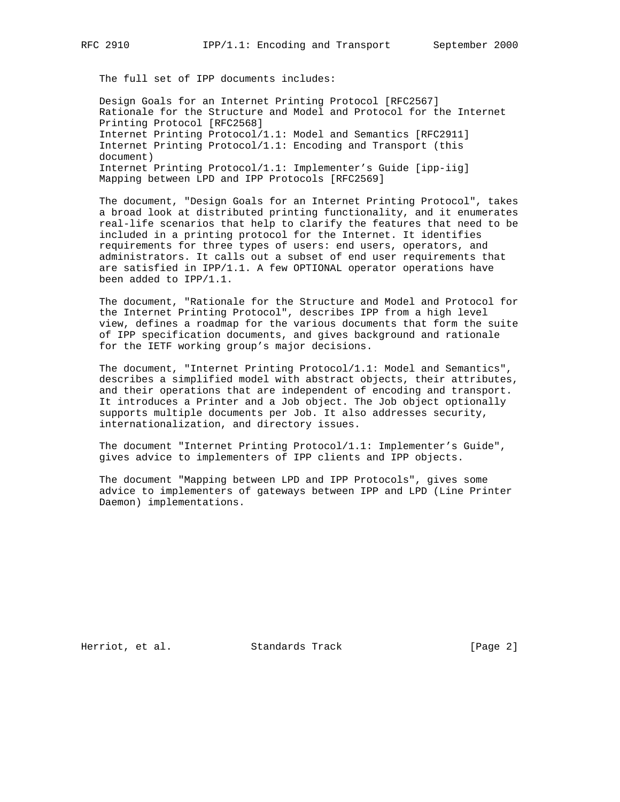The full set of IPP documents includes:

 Design Goals for an Internet Printing Protocol [RFC2567] Rationale for the Structure and Model and Protocol for the Internet Printing Protocol [RFC2568] Internet Printing Protocol/1.1: Model and Semantics [RFC2911] Internet Printing Protocol/1.1: Encoding and Transport (this document) Internet Printing Protocol/1.1: Implementer's Guide [ipp-iig] Mapping between LPD and IPP Protocols [RFC2569]

 The document, "Design Goals for an Internet Printing Protocol", takes a broad look at distributed printing functionality, and it enumerates real-life scenarios that help to clarify the features that need to be included in a printing protocol for the Internet. It identifies requirements for three types of users: end users, operators, and administrators. It calls out a subset of end user requirements that are satisfied in IPP/1.1. A few OPTIONAL operator operations have been added to IPP/1.1.

 The document, "Rationale for the Structure and Model and Protocol for the Internet Printing Protocol", describes IPP from a high level view, defines a roadmap for the various documents that form the suite of IPP specification documents, and gives background and rationale for the IETF working group's major decisions.

 The document, "Internet Printing Protocol/1.1: Model and Semantics", describes a simplified model with abstract objects, their attributes, and their operations that are independent of encoding and transport. It introduces a Printer and a Job object. The Job object optionally supports multiple documents per Job. It also addresses security, internationalization, and directory issues.

 The document "Internet Printing Protocol/1.1: Implementer's Guide", gives advice to implementers of IPP clients and IPP objects.

 The document "Mapping between LPD and IPP Protocols", gives some advice to implementers of gateways between IPP and LPD (Line Printer Daemon) implementations.

Herriot, et al. Standards Track [Page 2]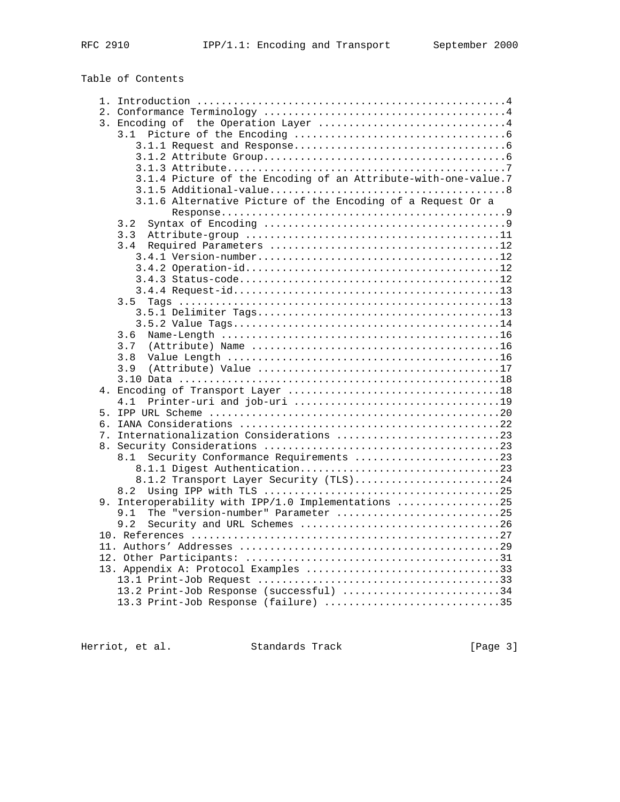Table of Contents

| 3. Encoding of the Operation Layer 4                           |  |
|----------------------------------------------------------------|--|
|                                                                |  |
|                                                                |  |
|                                                                |  |
|                                                                |  |
| 3.1.4 Picture of the Encoding of an Attribute-with-one-value.7 |  |
|                                                                |  |
| 3.1.6 Alternative Picture of the Encoding of a Request Or a    |  |
|                                                                |  |
| 3.2                                                            |  |
| 3.3                                                            |  |
| 3.4                                                            |  |
|                                                                |  |
|                                                                |  |
|                                                                |  |
|                                                                |  |
| 3.5                                                            |  |
|                                                                |  |
|                                                                |  |
| 3.6                                                            |  |
| 3.7                                                            |  |
| 3.8                                                            |  |
| 3.9                                                            |  |
|                                                                |  |
|                                                                |  |
| 4.1                                                            |  |
|                                                                |  |
|                                                                |  |
| 7. Internationalization Considerations 23                      |  |
|                                                                |  |
| 8.1 Security Conformance Requirements 23                       |  |
|                                                                |  |
| 8.1.2 Transport Layer Security (TLS)24                         |  |
| 9. Interoperability with IPP/1.0 Implementations 25            |  |
| The "version-number" Parameter 25<br>9.1                       |  |
| 9.2                                                            |  |
|                                                                |  |
|                                                                |  |
|                                                                |  |
| 13. Appendix A: Protocol Examples 33                           |  |
|                                                                |  |
| 13.2 Print-Job Response (successful) 34                        |  |
| 13.3 Print-Job Response (failure) 35                           |  |
|                                                                |  |

Herriot, et al. Standards Track [Page 3]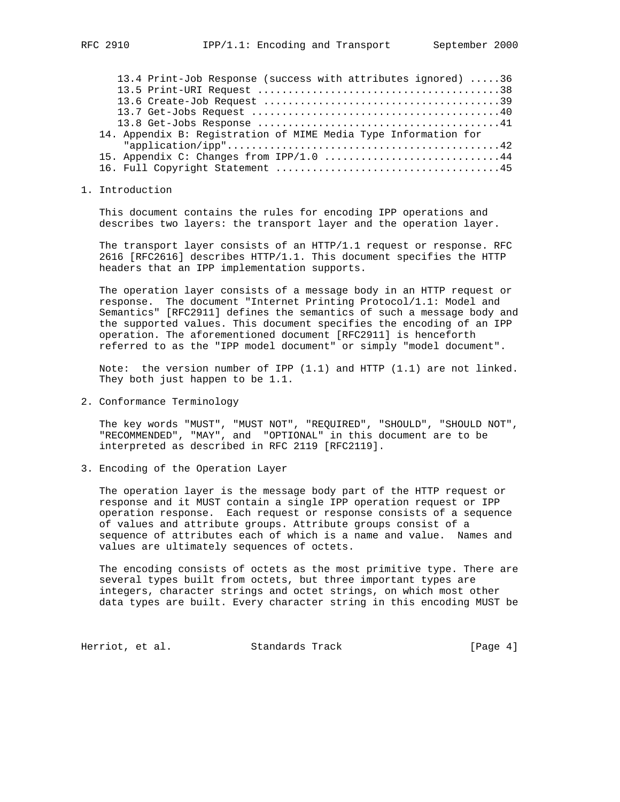| 13.4 Print-Job Response (success with attributes ignored) 36    |
|-----------------------------------------------------------------|
|                                                                 |
|                                                                 |
|                                                                 |
|                                                                 |
| 14. Appendix B: Registration of MIME Media Type Information for |
|                                                                 |
| 15. Appendix C: Changes from IPP/1.0 44                         |
|                                                                 |

1. Introduction

 This document contains the rules for encoding IPP operations and describes two layers: the transport layer and the operation layer.

 The transport layer consists of an HTTP/1.1 request or response. RFC 2616 [RFC2616] describes HTTP/1.1. This document specifies the HTTP headers that an IPP implementation supports.

 The operation layer consists of a message body in an HTTP request or response. The document "Internet Printing Protocol/1.1: Model and Semantics" [RFC2911] defines the semantics of such a message body and the supported values. This document specifies the encoding of an IPP operation. The aforementioned document [RFC2911] is henceforth referred to as the "IPP model document" or simply "model document".

 Note: the version number of IPP (1.1) and HTTP (1.1) are not linked. They both just happen to be 1.1.

2. Conformance Terminology

 The key words "MUST", "MUST NOT", "REQUIRED", "SHOULD", "SHOULD NOT", "RECOMMENDED", "MAY", and "OPTIONAL" in this document are to be interpreted as described in RFC 2119 [RFC2119].

3. Encoding of the Operation Layer

 The operation layer is the message body part of the HTTP request or response and it MUST contain a single IPP operation request or IPP operation response. Each request or response consists of a sequence of values and attribute groups. Attribute groups consist of a sequence of attributes each of which is a name and value. Names and values are ultimately sequences of octets.

 The encoding consists of octets as the most primitive type. There are several types built from octets, but three important types are integers, character strings and octet strings, on which most other data types are built. Every character string in this encoding MUST be

Herriot, et al. Standards Track [Page 4]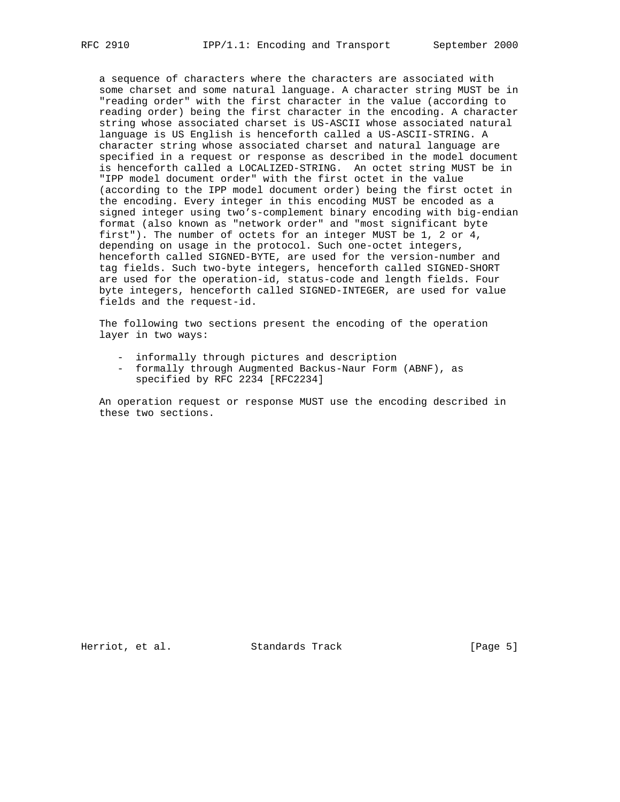a sequence of characters where the characters are associated with some charset and some natural language. A character string MUST be in "reading order" with the first character in the value (according to reading order) being the first character in the encoding. A character string whose associated charset is US-ASCII whose associated natural language is US English is henceforth called a US-ASCII-STRING. A character string whose associated charset and natural language are specified in a request or response as described in the model document is henceforth called a LOCALIZED-STRING. An octet string MUST be in "IPP model document order" with the first octet in the value (according to the IPP model document order) being the first octet in the encoding. Every integer in this encoding MUST be encoded as a signed integer using two's-complement binary encoding with big-endian format (also known as "network order" and "most significant byte first"). The number of octets for an integer MUST be 1, 2 or 4, depending on usage in the protocol. Such one-octet integers, henceforth called SIGNED-BYTE, are used for the version-number and tag fields. Such two-byte integers, henceforth called SIGNED-SHORT are used for the operation-id, status-code and length fields. Four byte integers, henceforth called SIGNED-INTEGER, are used for value fields and the request-id.

 The following two sections present the encoding of the operation layer in two ways:

- informally through pictures and description
- formally through Augmented Backus-Naur Form (ABNF), as specified by RFC 2234 [RFC2234]

 An operation request or response MUST use the encoding described in these two sections.

Herriot, et al. Standards Track [Page 5]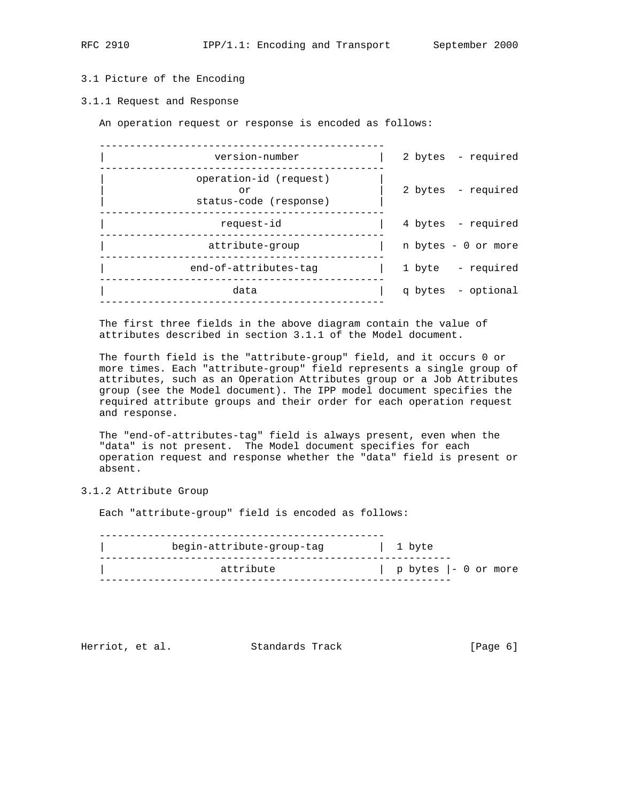# 3.1 Picture of the Encoding

#### 3.1.1 Request and Response

An operation request or response is encoded as follows:

| version-number                                         | 2 bytes - required  |
|--------------------------------------------------------|---------------------|
| operation-id (request)<br>or<br>status-code (response) | 2 bytes - required  |
| request-id                                             | 4 bytes - required  |
| attribute-group                                        | n bytes - 0 or more |
| end-of-attributes-tag                                  | 1 byte - required   |
| data                                                   | q bytes - optional  |
|                                                        |                     |

 The first three fields in the above diagram contain the value of attributes described in section 3.1.1 of the Model document.

 The fourth field is the "attribute-group" field, and it occurs 0 or more times. Each "attribute-group" field represents a single group of attributes, such as an Operation Attributes group or a Job Attributes group (see the Model document). The IPP model document specifies the required attribute groups and their order for each operation request and response.

 The "end-of-attributes-tag" field is always present, even when the "data" is not present. The Model document specifies for each operation request and response whether the "data" field is present or absent.

## 3.1.2 Attribute Group

Each "attribute-group" field is encoded as follows:

 ----------------------------------------------- | begin-attribute-group-tag | 1 byte ---------------------------------------------------------- | attribute | p bytes |- 0 or more ----------------------------------------------------------

Herriot, et al. Standards Track [Page 6]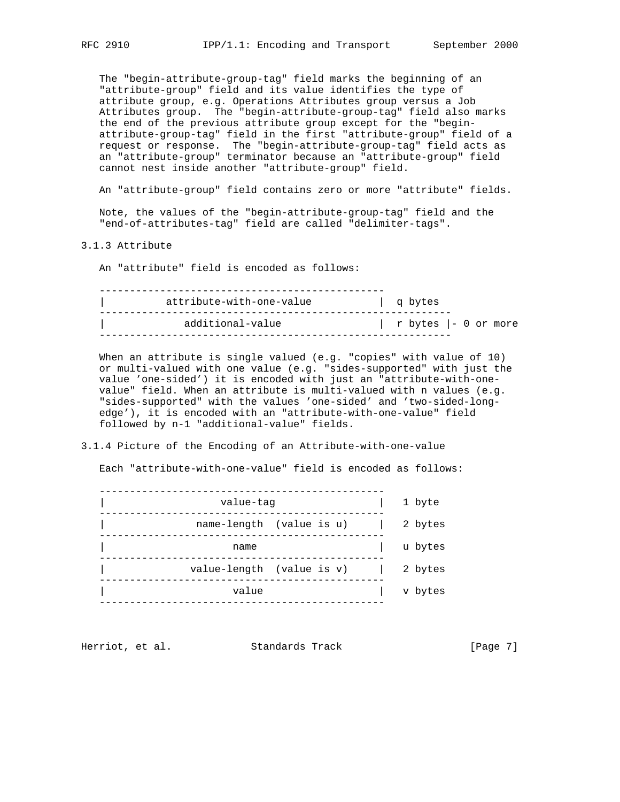The "begin-attribute-group-tag" field marks the beginning of an "attribute-group" field and its value identifies the type of attribute group, e.g. Operations Attributes group versus a Job Attributes group. The "begin-attribute-group-tag" field also marks the end of the previous attribute group except for the "begin attribute-group-tag" field in the first "attribute-group" field of a request or response. The "begin-attribute-group-tag" field acts as an "attribute-group" terminator because an "attribute-group" field cannot nest inside another "attribute-group" field.

An "attribute-group" field contains zero or more "attribute" fields.

 Note, the values of the "begin-attribute-group-tag" field and the "end-of-attributes-tag" field are called "delimiter-tags".

3.1.3 Attribute

An "attribute" field is encoded as follows:

| attribute-with-one-value | g bytes              |
|--------------------------|----------------------|
| additional-value         | r bytes  - 0 or more |

 When an attribute is single valued (e.g. "copies" with value of 10) or multi-valued with one value (e.g. "sides-supported" with just the value 'one-sided') it is encoded with just an "attribute-with-one value" field. When an attribute is multi-valued with n values (e.g. "sides-supported" with the values 'one-sided' and 'two-sided-long edge'), it is encoded with an "attribute-with-one-value" field followed by n-1 "additional-value" fields.

#### 3.1.4 Picture of the Encoding of an Attribute-with-one-value

Each "attribute-with-one-value" field is encoded as follows:

| value-tag |                           | 1 byte  |
|-----------|---------------------------|---------|
|           | name-length (value is u)  | 2 bytes |
| name      |                           | u bytes |
|           | value-length (value is v) | 2 bytes |
| value     |                           | v bytes |
|           |                           |         |

Herriot, et al. Standards Track [Page 7]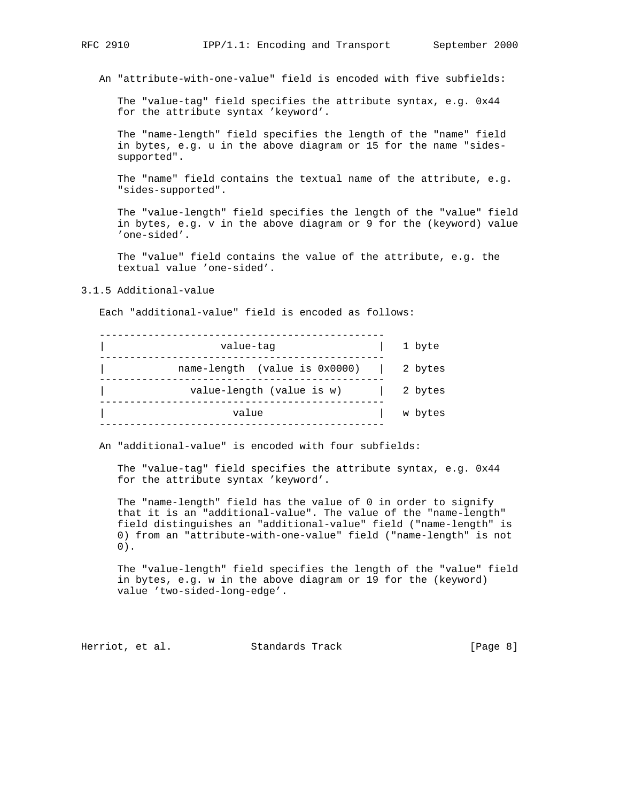An "attribute-with-one-value" field is encoded with five subfields:

 The "value-tag" field specifies the attribute syntax, e.g. 0x44 for the attribute syntax 'keyword'.

 The "name-length" field specifies the length of the "name" field in bytes, e.g. u in the above diagram or 15 for the name "sides supported".

 The "name" field contains the textual name of the attribute, e.g. "sides-supported".

 The "value-length" field specifies the length of the "value" field in bytes, e.g. v in the above diagram or 9 for the (keyword) value 'one-sided'.

 The "value" field contains the value of the attribute, e.g. the textual value 'one-sided'.

## 3.1.5 Additional-value

Each "additional-value" field is encoded as follows:

| value-tag                               | 1 byte  |
|-----------------------------------------|---------|
| name-length (value is 0x0000)   2 bytes |         |
| value-length (value is w)               | 2 bytes |
| value                                   | w bytes |
|                                         |         |

An "additional-value" is encoded with four subfields:

 The "value-tag" field specifies the attribute syntax, e.g. 0x44 for the attribute syntax 'keyword'.

 The "name-length" field has the value of 0 in order to signify that it is an "additional-value". The value of the "name-length" field distinguishes an "additional-value" field ("name-length" is 0) from an "attribute-with-one-value" field ("name-length" is not 0).

 The "value-length" field specifies the length of the "value" field in bytes, e.g. w in the above diagram or 19 for the (keyword) value 'two-sided-long-edge'.

Herriot, et al. Standards Track [Page 8]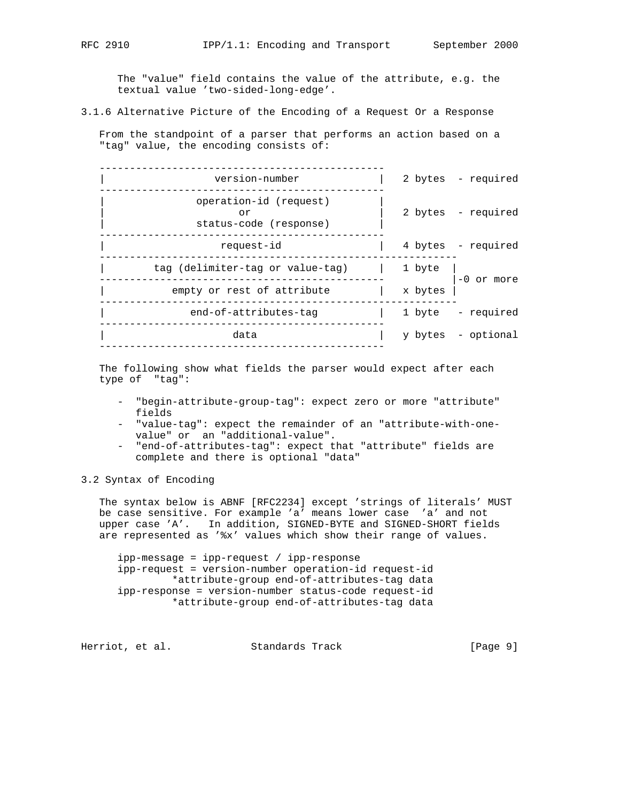The "value" field contains the value of the attribute, e.g. the textual value 'two-sided-long-edge'.

3.1.6 Alternative Picture of the Encoding of a Request Or a Response

 From the standpoint of a parser that performs an action based on a "tag" value, the encoding consists of:

| version-number                                         |         | 2 bytes - required |
|--------------------------------------------------------|---------|--------------------|
| operation-id (request)<br>Ωr<br>status-code (response) |         | 2 bytes - required |
| request-id                                             |         | 4 bytes - required |
| tag (delimiter-tag or value-tag)                       | 1 byte  | $-0$ or more       |
| empty or rest of attribute                             | x bytes |                    |
| end-of-attributes-tag                                  |         | 1 byte - required  |
| data                                                   |         | y bytes - optional |
|                                                        |         |                    |

 The following show what fields the parser would expect after each type of "tag":

- "begin-attribute-group-tag": expect zero or more "attribute" fields
- "value-tag": expect the remainder of an "attribute-with-one value" or an "additional-value".
- "end-of-attributes-tag": expect that "attribute" fields are complete and there is optional "data"

# 3.2 Syntax of Encoding

 The syntax below is ABNF [RFC2234] except 'strings of literals' MUST be case sensitive. For example 'a' means lower case 'a' and not upper case 'A'. In addition, SIGNED-BYTE and SIGNED-SHORT fields are represented as '%x' values which show their range of values.

 ipp-message = ipp-request / ipp-response ipp-request = version-number operation-id request-id \*attribute-group end-of-attributes-tag data ipp-response = version-number status-code request-id \*attribute-group end-of-attributes-tag data

Herriot, et al. Standards Track [Page 9]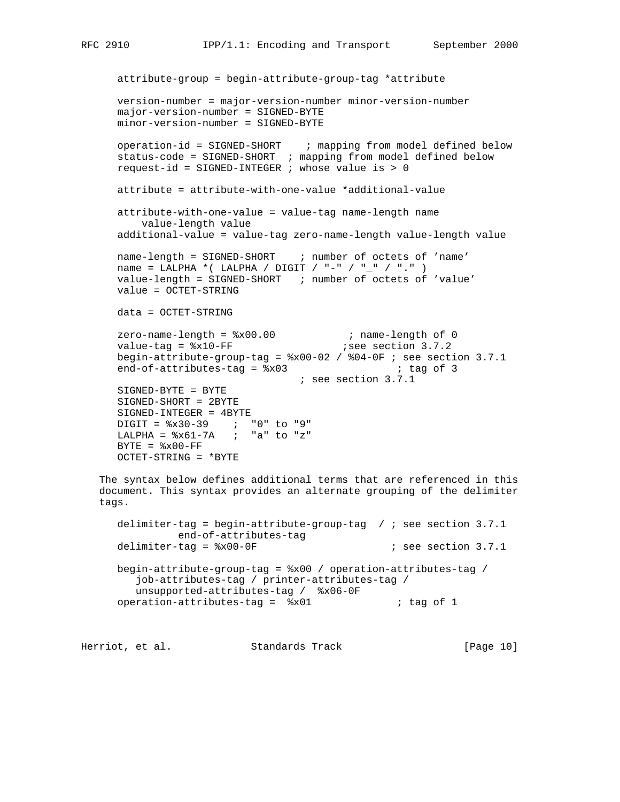```
 attribute-group = begin-attribute-group-tag *attribute
      version-number = major-version-number minor-version-number
      major-version-number = SIGNED-BYTE
      minor-version-number = SIGNED-BYTE
      operation-id = SIGNED-SHORT ; mapping from model defined below
      status-code = SIGNED-SHORT ; mapping from model defined below
      request-id = SIGNED-INTEGER ; whose value is > 0
      attribute = attribute-with-one-value *additional-value
      attribute-with-one-value = value-tag name-length name
         value-length value
      additional-value = value-tag zero-name-length value-length value
     name-length = SIGNED-SHORT ; number of octets of 'name'
     name = LALPHA *( LALPHA / DIGIT / "-" / "_" / "." )
      value-length = SIGNED-SHORT ; number of octets of 'value'
      value = OCTET-STRING
      data = OCTET-STRING
zero-name-length = x00.00 ; name-length of 0
value-tag = x10-FF x ; see section 3.7.2
      begin-attribute-group-tag = %x00-02 / %04-0F ; see section 3.7.1
     end-of-attributes-tag = <math>*x03</math> ; tag of 3 ; see section 3.7.1
      SIGNED-BYTE = BYTE
      SIGNED-SHORT = 2BYTE
      SIGNED-INTEGER = 4BYTE
      DIGIT = %x30-39 ; "0" to "9"
     LALPHA = 8x61-7A ; "a" to "z"
     BYTE = <math>$x00-FF</math> OCTET-STRING = *BYTE
   The syntax below defines additional terms that are referenced in this
   document. This syntax provides an alternate grouping of the delimiter
   tags.
```
 delimiter-tag = begin-attribute-group-tag / ; see section 3.7.1 end-of-attributes-tag delimiter-tag =  $x00-0F$  ; see section 3.7.1 begin-attribute-group-tag = %x00 / operation-attributes-tag / job-attributes-tag / printer-attributes-tag / unsupported-attributes-tag / %x06-0F operation-attributes-tag =  $\sqrt[3]{8}x01$  ; tag of 1

Herriot, et al. Standards Track [Page 10]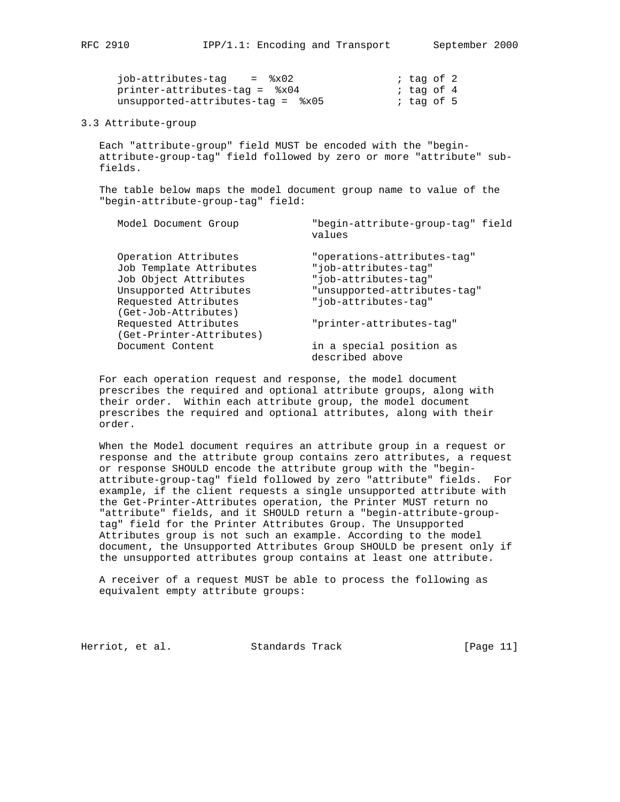| iob-attributes-tag<br>$=$ $\,8x02$ | ; tag of 2 |  |
|------------------------------------|------------|--|
| printer-attributes-tag = %x04      | ; tag of 4 |  |
| unsupported-attributes-tag = $%5$  | ; tag of 5 |  |

#### 3.3 Attribute-group

 Each "attribute-group" field MUST be encoded with the "begin attribute-group-tag" field followed by zero or more "attribute" sub fields.

 The table below maps the model document group name to value of the "begin-attribute-group-tag" field:

| Model Document Group                             | "begin-attribute-group-tag" field<br>values |
|--------------------------------------------------|---------------------------------------------|
| Operation Attributes                             | "operations-attributes-tag"                 |
| Job Template Attributes                          | "job-attributes-taq"                        |
| Job Object Attributes                            | "job-attributes-tag"                        |
| Unsupported Attributes                           | "unsupported-attributes-tag"                |
| Requested Attributes<br>(Get-Job-Attributes)     | "job-attributes-tag"                        |
| Requested Attributes<br>(Get-Printer-Attributes) | "printer-attributes-tag"                    |
| Document Content                                 | in a special position as<br>described above |
|                                                  |                                             |

 For each operation request and response, the model document prescribes the required and optional attribute groups, along with their order. Within each attribute group, the model document prescribes the required and optional attributes, along with their order.

 When the Model document requires an attribute group in a request or response and the attribute group contains zero attributes, a request or response SHOULD encode the attribute group with the "begin attribute-group-tag" field followed by zero "attribute" fields. For example, if the client requests a single unsupported attribute with the Get-Printer-Attributes operation, the Printer MUST return no "attribute" fields, and it SHOULD return a "begin-attribute-group tag" field for the Printer Attributes Group. The Unsupported Attributes group is not such an example. According to the model document, the Unsupported Attributes Group SHOULD be present only if the unsupported attributes group contains at least one attribute.

 A receiver of a request MUST be able to process the following as equivalent empty attribute groups:

Herriot, et al. Standards Track [Page 11]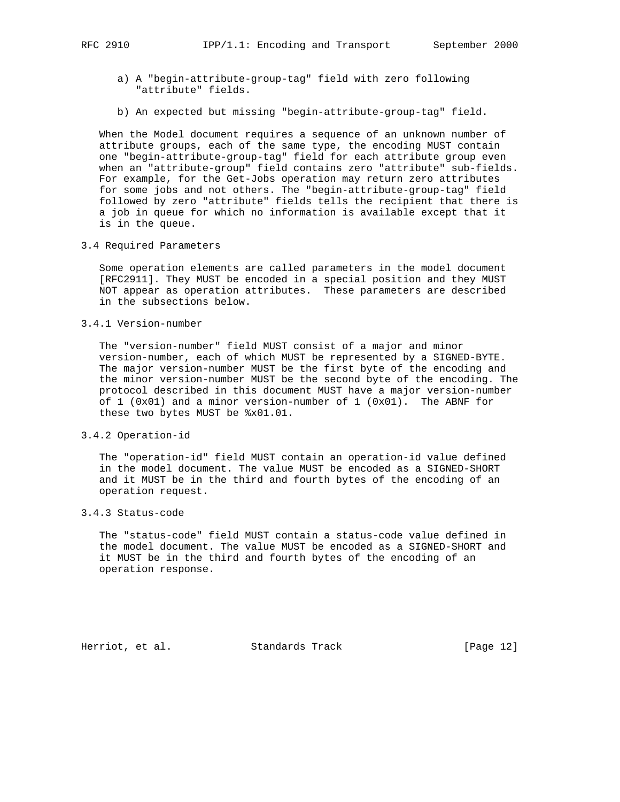- a) A "begin-attribute-group-tag" field with zero following "attribute" fields.
- b) An expected but missing "begin-attribute-group-tag" field.

 When the Model document requires a sequence of an unknown number of attribute groups, each of the same type, the encoding MUST contain one "begin-attribute-group-tag" field for each attribute group even when an "attribute-group" field contains zero "attribute" sub-fields. For example, for the Get-Jobs operation may return zero attributes for some jobs and not others. The "begin-attribute-group-tag" field followed by zero "attribute" fields tells the recipient that there is a job in queue for which no information is available except that it is in the queue.

3.4 Required Parameters

 Some operation elements are called parameters in the model document [RFC2911]. They MUST be encoded in a special position and they MUST NOT appear as operation attributes. These parameters are described in the subsections below.

3.4.1 Version-number

 The "version-number" field MUST consist of a major and minor version-number, each of which MUST be represented by a SIGNED-BYTE. The major version-number MUST be the first byte of the encoding and the minor version-number MUST be the second byte of the encoding. The protocol described in this document MUST have a major version-number of  $1$  (0x01) and a minor version-number of  $1$  (0x01). The ABNF for these two bytes MUST be %x01.01.

3.4.2 Operation-id

 The "operation-id" field MUST contain an operation-id value defined in the model document. The value MUST be encoded as a SIGNED-SHORT and it MUST be in the third and fourth bytes of the encoding of an operation request.

### 3.4.3 Status-code

 The "status-code" field MUST contain a status-code value defined in the model document. The value MUST be encoded as a SIGNED-SHORT and it MUST be in the third and fourth bytes of the encoding of an operation response.

Herriot, et al. Standards Track [Page 12]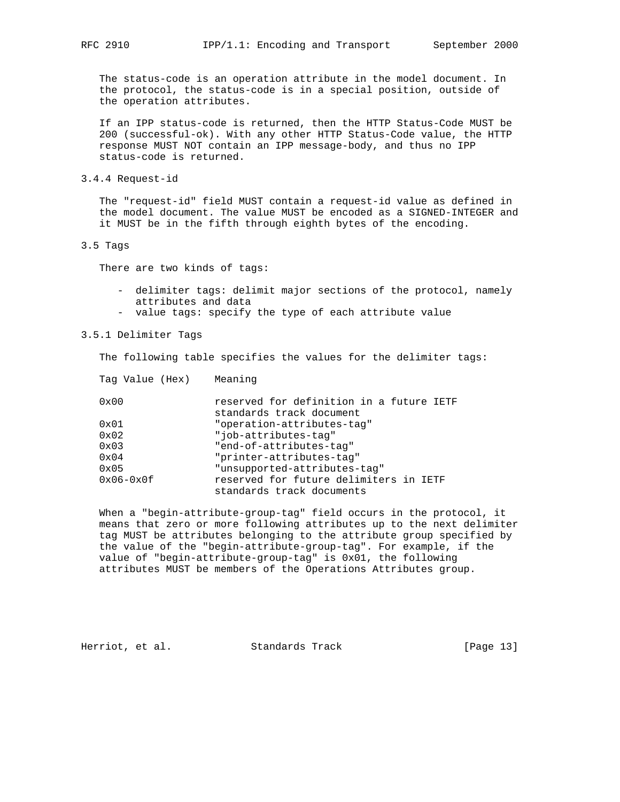The status-code is an operation attribute in the model document. In the protocol, the status-code is in a special position, outside of the operation attributes.

 If an IPP status-code is returned, then the HTTP Status-Code MUST be 200 (successful-ok). With any other HTTP Status-Code value, the HTTP response MUST NOT contain an IPP message-body, and thus no IPP status-code is returned.

3.4.4 Request-id

 The "request-id" field MUST contain a request-id value as defined in the model document. The value MUST be encoded as a SIGNED-INTEGER and it MUST be in the fifth through eighth bytes of the encoding.

#### 3.5 Tags

There are two kinds of tags:

- delimiter tags: delimit major sections of the protocol, namely attributes and data
- value tags: specify the type of each attribute value

## 3.5.1 Delimiter Tags

The following table specifies the values for the delimiter tags:

| Tag Value (Hex) | Meaning                                                              |
|-----------------|----------------------------------------------------------------------|
| $0 \times 00$   | reserved for definition in a future IETF<br>standards track document |
| $0 \times 01$   | "operation-attributes-tag"                                           |
| $0 \times 02$   | "job-attributes-tag"                                                 |
| $0 \times 03$   | "end-of-attributes-tag"                                              |
| $0 \times 04$   | "printer-attributes-tag"                                             |
| $0 \times 0.5$  | "unsupported-attributes-taq"                                         |
| $0x06-0x0f$     | reserved for future delimiters in IETF<br>standards track documents  |

 When a "begin-attribute-group-tag" field occurs in the protocol, it means that zero or more following attributes up to the next delimiter tag MUST be attributes belonging to the attribute group specified by the value of the "begin-attribute-group-tag". For example, if the value of "begin-attribute-group-tag" is 0x01, the following attributes MUST be members of the Operations Attributes group.

Herriot, et al. Standards Track [Page 13]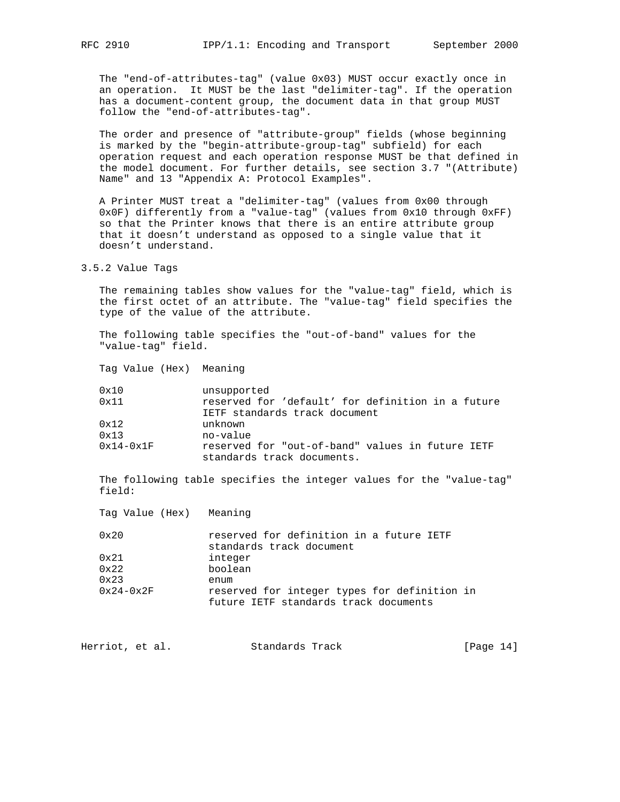The "end-of-attributes-tag" (value 0x03) MUST occur exactly once in an operation. It MUST be the last "delimiter-tag". If the operation has a document-content group, the document data in that group MUST follow the "end-of-attributes-tag".

 The order and presence of "attribute-group" fields (whose beginning is marked by the "begin-attribute-group-tag" subfield) for each operation request and each operation response MUST be that defined in the model document. For further details, see section 3.7 "(Attribute) Name" and 13 "Appendix A: Protocol Examples".

 A Printer MUST treat a "delimiter-tag" (values from 0x00 through 0x0F) differently from a "value-tag" (values from 0x10 through 0xFF) so that the Printer knows that there is an entire attribute group that it doesn't understand as opposed to a single value that it doesn't understand.

#### 3.5.2 Value Tags

 The remaining tables show values for the "value-tag" field, which is the first octet of an attribute. The "value-tag" field specifies the type of the value of the attribute.

 The following table specifies the "out-of-band" values for the "value-tag" field.

Tag Value (Hex) Meaning

| 0x10          | unsupported                                                                    |
|---------------|--------------------------------------------------------------------------------|
| $0 \times 11$ | reserved for 'default' for definition in a future                              |
|               | IETF standards track document                                                  |
| $0 \times 12$ | unknown                                                                        |
| 0x13          | no-value                                                                       |
| $0x14-0x1F$   | reserved for "out-of-band" values in future IETF<br>standards track documents. |

 The following table specifies the integer values for the "value-tag" field:

 Tag Value (Hex) Meaning 0x20 reserved for definition in a future IETF standards track document 0x21 integer 0x22 boolean 0x23 enum 0x24-0x2F reserved for integer types for definition in

future IETF standards track documents

| [Page $14$ ]<br>Herriot, et al.<br>Standards Track |  |  |  |  |  |
|----------------------------------------------------|--|--|--|--|--|
|----------------------------------------------------|--|--|--|--|--|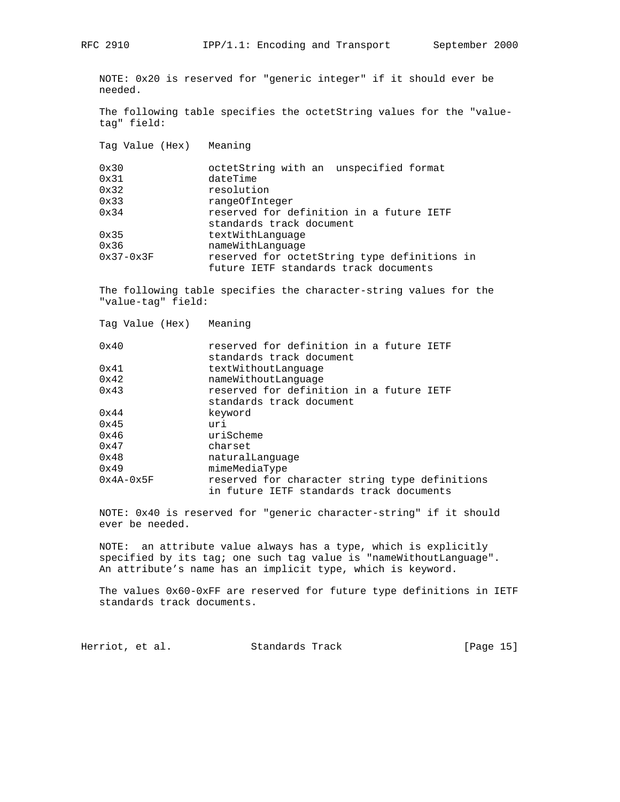NOTE: 0x20 is reserved for "generic integer" if it should ever be needed.

 The following table specifies the octetString values for the "value tag" field:

Tag Value (Hex) Meaning

| 0x30          | octetString with an unspecified format       |  |
|---------------|----------------------------------------------|--|
| 0x31          | dateTime                                     |  |
| 0x32          | resolution                                   |  |
| 0x33          | rangeOfInteger                               |  |
| $0 \times 34$ | reserved for definition in a future IETF     |  |
|               | standards track document                     |  |
| $0 \times 35$ | textWithLanguage                             |  |
| 0x36          | nameWithLanquaqe                             |  |
| $0x37-0x3F$   | reserved for octetString type definitions in |  |
|               | future IETF standards track documents        |  |

 The following table specifies the character-string values for the "value-tag" field:

| Tag Value (Hex) | Meaning                                                                                    |
|-----------------|--------------------------------------------------------------------------------------------|
| 0x40            | reserved for definition in a future IETF<br>standards track document                       |
| 0x41            | textWithoutLanguage                                                                        |
| 0x42            | nameWithoutLanquage                                                                        |
| 0x43            | reserved for definition in a future IETF<br>standards track document                       |
| $0 \times 44$   | keyword                                                                                    |
| $0 \times 45$   | uri                                                                                        |
| 0x46            | uriScheme                                                                                  |
| 0x47            | charset                                                                                    |
| 0x48            | naturalLanquaqe                                                                            |
| $0 \times 49$   | mimeMediaType                                                                              |
| $0x4A-0x5F$     | reserved for character string type definitions<br>in future IETF standards track documents |

 NOTE: 0x40 is reserved for "generic character-string" if it should ever be needed.

 NOTE: an attribute value always has a type, which is explicitly specified by its tag; one such tag value is "nameWithoutLanguage". An attribute's name has an implicit type, which is keyword.

 The values 0x60-0xFF are reserved for future type definitions in IETF standards track documents.

Herriot, et al. Standards Track [Page 15]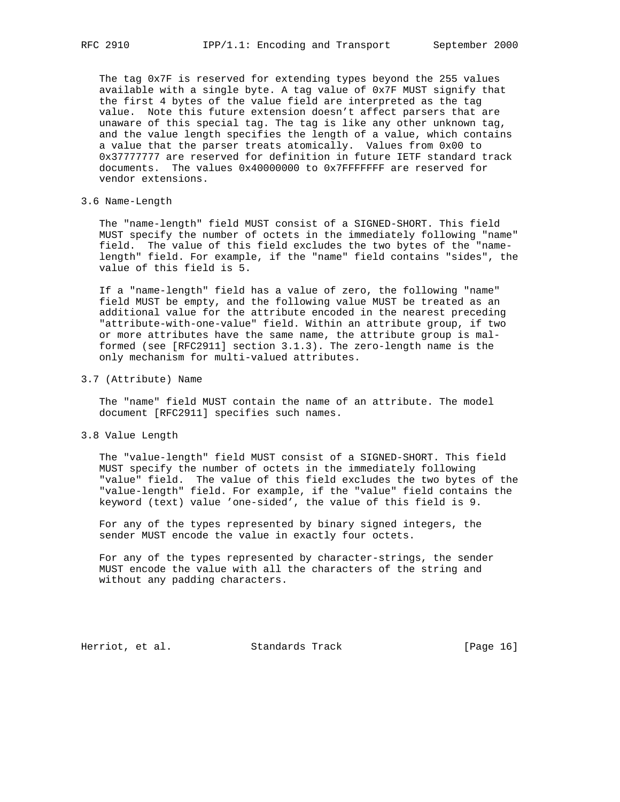The tag 0x7F is reserved for extending types beyond the 255 values available with a single byte. A tag value of 0x7F MUST signify that the first 4 bytes of the value field are interpreted as the tag value. Note this future extension doesn't affect parsers that are unaware of this special tag. The tag is like any other unknown tag, and the value length specifies the length of a value, which contains a value that the parser treats atomically. Values from 0x00 to 0x37777777 are reserved for definition in future IETF standard track documents. The values 0x40000000 to 0x7FFFFFFF are reserved for vendor extensions.

## 3.6 Name-Length

 The "name-length" field MUST consist of a SIGNED-SHORT. This field MUST specify the number of octets in the immediately following "name" field. The value of this field excludes the two bytes of the "name length" field. For example, if the "name" field contains "sides", the value of this field is 5.

 If a "name-length" field has a value of zero, the following "name" field MUST be empty, and the following value MUST be treated as an additional value for the attribute encoded in the nearest preceding "attribute-with-one-value" field. Within an attribute group, if two or more attributes have the same name, the attribute group is mal formed (see [RFC2911] section 3.1.3). The zero-length name is the only mechanism for multi-valued attributes.

3.7 (Attribute) Name

 The "name" field MUST contain the name of an attribute. The model document [RFC2911] specifies such names.

3.8 Value Length

 The "value-length" field MUST consist of a SIGNED-SHORT. This field MUST specify the number of octets in the immediately following "value" field. The value of this field excludes the two bytes of the "value-length" field. For example, if the "value" field contains the keyword (text) value 'one-sided', the value of this field is 9.

 For any of the types represented by binary signed integers, the sender MUST encode the value in exactly four octets.

 For any of the types represented by character-strings, the sender MUST encode the value with all the characters of the string and without any padding characters.

Herriot, et al. Standards Track [Page 16]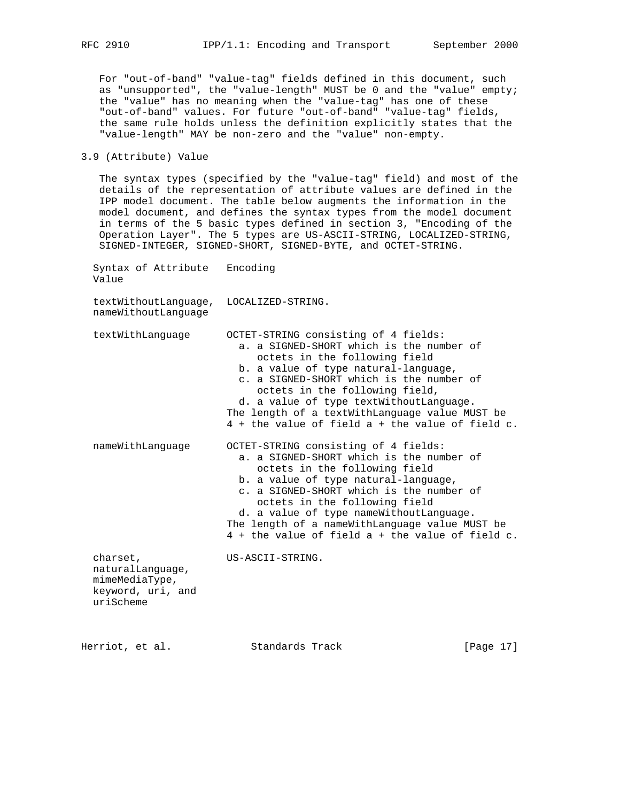For "out-of-band" "value-tag" fields defined in this document, such as "unsupported", the "value-length" MUST be 0 and the "value" empty; the "value" has no meaning when the "value-tag" has one of these "out-of-band" values. For future "out-of-band" "value-tag" fields, the same rule holds unless the definition explicitly states that the "value-length" MAY be non-zero and the "value" non-empty.

3.9 (Attribute) Value

 The syntax types (specified by the "value-tag" field) and most of the details of the representation of attribute values are defined in the IPP model document. The table below augments the information in the model document, and defines the syntax types from the model document in terms of the 5 basic types defined in section 3, "Encoding of the Operation Layer". The 5 types are US-ASCII-STRING, LOCALIZED-STRING, SIGNED-INTEGER, SIGNED-SHORT, SIGNED-BYTE, and OCTET-STRING.

 Syntax of Attribute Encoding Value

 textWithoutLanguage, LOCALIZED-STRING. nameWithoutLanguage

| textWithLanguage                                                                 | OCTET-STRING consisting of 4 fields:<br>a, a SIGNED-SHORT which is the number of<br>octets in the following field<br>b. a value of type natural-language,<br>c. a SIGNED-SHORT which is the number of<br>octets in the following field,<br>d. a value of type textWithoutLanguage.<br>The length of a textWithLanguage value MUST be<br>$4 +$ the value of field a + the value of field c. |
|----------------------------------------------------------------------------------|--------------------------------------------------------------------------------------------------------------------------------------------------------------------------------------------------------------------------------------------------------------------------------------------------------------------------------------------------------------------------------------------|
| nameWithLanguage                                                                 | OCTET-STRING consisting of 4 fields:<br>a. a SIGNED-SHORT which is the number of<br>octets in the following field<br>b. a value of type natural-language,<br>c. a SIGNED-SHORT which is the number of<br>octets in the following field<br>d. a value of type nameWithoutLanguage.<br>The length of a nameWithLanguage value MUST be<br>$4 +$ the value of field a + the value of field c.  |
| charset,<br>naturalLanguage,<br>mimeMediaType,<br>keyword, uri, and<br>uriScheme | US-ASCII-STRING.                                                                                                                                                                                                                                                                                                                                                                           |

Herriot, et al. Standards Track [Page 17]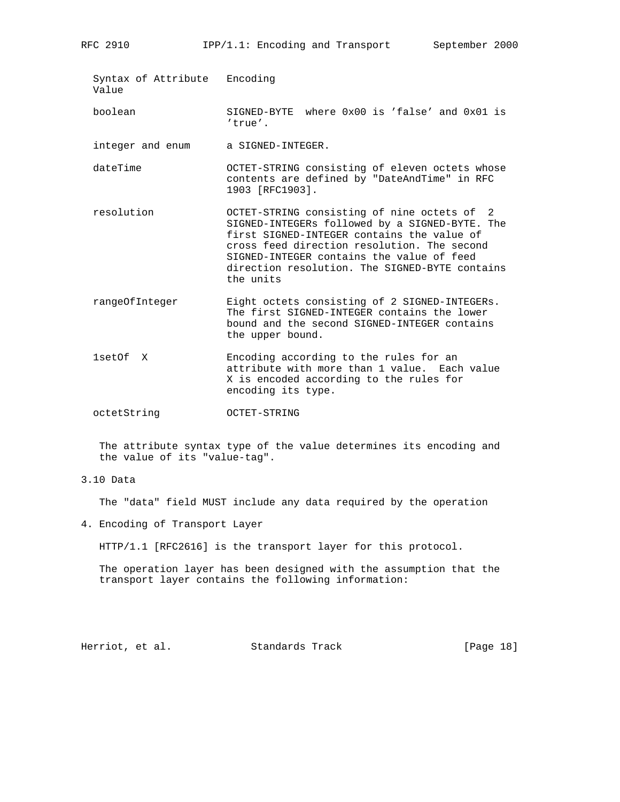Syntax of Attribute Encoding Value boolean SIGNED-BYTE where 0x00 is 'false' and 0x01 is 'true'. integer and enum a SIGNED-INTEGER.

- dateTime OCTET-STRING consisting of eleven octets whose contents are defined by "DateAndTime" in RFC 1903 [RFC1903].
- resolution OCTET-STRING consisting of nine octets of 2 SIGNED-INTEGERs followed by a SIGNED-BYTE. The first SIGNED-INTEGER contains the value of cross feed direction resolution. The second SIGNED-INTEGER contains the value of feed direction resolution. The SIGNED-BYTE contains the units
- rangeOfInteger Eight octets consisting of 2 SIGNED-INTEGERs. The first SIGNED-INTEGER contains the lower bound and the second SIGNED-INTEGER contains the upper bound.
- 1setOf X Encoding according to the rules for an attribute with more than 1 value. Each value X is encoded according to the rules for encoding its type.
- octetString OCTET-STRING

 The attribute syntax type of the value determines its encoding and the value of its "value-tag".

3.10 Data

The "data" field MUST include any data required by the operation

4. Encoding of Transport Layer

HTTP/1.1 [RFC2616] is the transport layer for this protocol.

 The operation layer has been designed with the assumption that the transport layer contains the following information:

Herriot, et al. Standards Track [Page 18]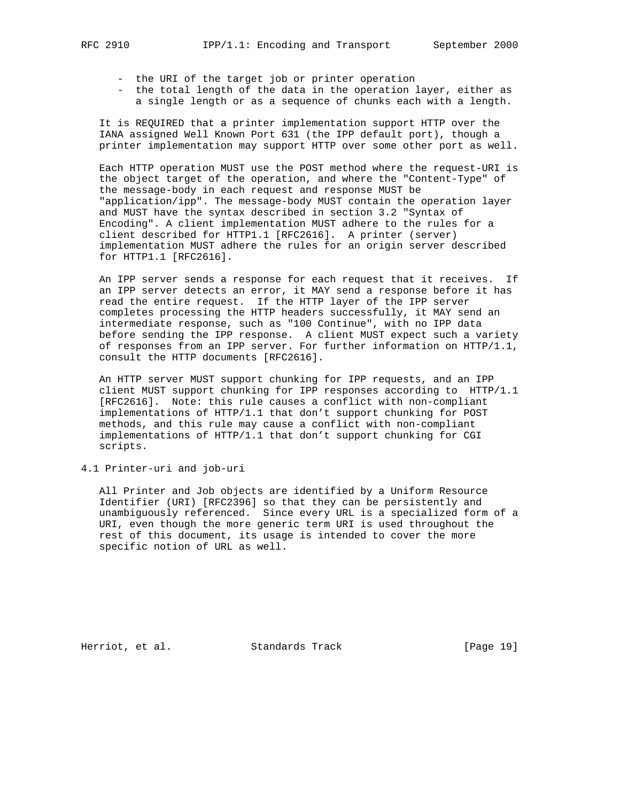- the URI of the target job or printer operation
- the total length of the data in the operation layer, either as a single length or as a sequence of chunks each with a length.

 It is REQUIRED that a printer implementation support HTTP over the IANA assigned Well Known Port 631 (the IPP default port), though a printer implementation may support HTTP over some other port as well.

 Each HTTP operation MUST use the POST method where the request-URI is the object target of the operation, and where the "Content-Type" of the message-body in each request and response MUST be "application/ipp". The message-body MUST contain the operation layer and MUST have the syntax described in section 3.2 "Syntax of Encoding". A client implementation MUST adhere to the rules for a client described for HTTP1.1 [RFC2616]. A printer (server) implementation MUST adhere the rules for an origin server described for HTTP1.1 [RFC2616].

 An IPP server sends a response for each request that it receives. If an IPP server detects an error, it MAY send a response before it has read the entire request. If the HTTP layer of the IPP server completes processing the HTTP headers successfully, it MAY send an intermediate response, such as "100 Continue", with no IPP data before sending the IPP response. A client MUST expect such a variety of responses from an IPP server. For further information on HTTP/1.1, consult the HTTP documents [RFC2616].

 An HTTP server MUST support chunking for IPP requests, and an IPP client MUST support chunking for IPP responses according to HTTP/1.1 [RFC2616]. Note: this rule causes a conflict with non-compliant implementations of HTTP/1.1 that don't support chunking for POST methods, and this rule may cause a conflict with non-compliant implementations of HTTP/1.1 that don't support chunking for CGI scripts.

4.1 Printer-uri and job-uri

 All Printer and Job objects are identified by a Uniform Resource Identifier (URI) [RFC2396] so that they can be persistently and unambiguously referenced. Since every URL is a specialized form of a URI, even though the more generic term URI is used throughout the rest of this document, its usage is intended to cover the more specific notion of URL as well.

Herriot, et al. Standards Track [Page 19]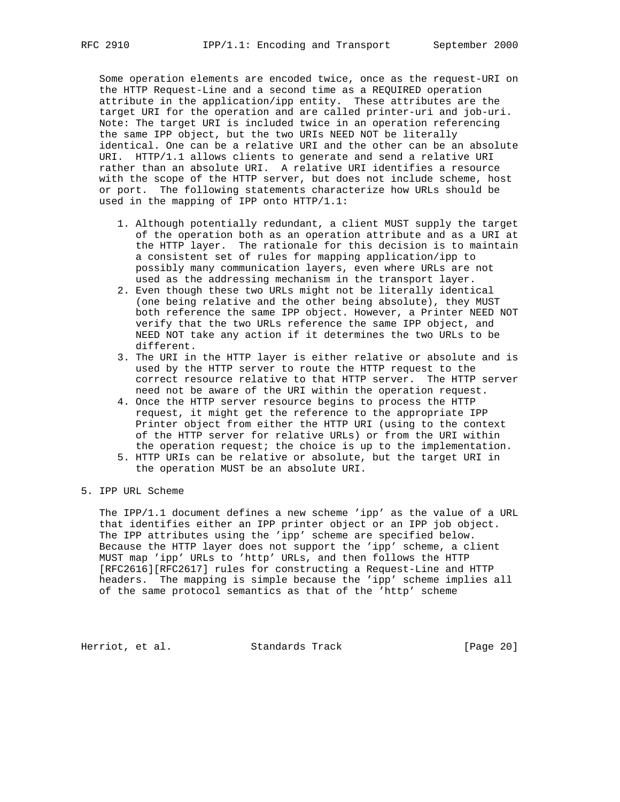Some operation elements are encoded twice, once as the request-URI on the HTTP Request-Line and a second time as a REQUIRED operation attribute in the application/ipp entity. These attributes are the target URI for the operation and are called printer-uri and job-uri. Note: The target URI is included twice in an operation referencing the same IPP object, but the two URIs NEED NOT be literally identical. One can be a relative URI and the other can be an absolute URI. HTTP/1.1 allows clients to generate and send a relative URI rather than an absolute URI. A relative URI identifies a resource with the scope of the HTTP server, but does not include scheme, host or port. The following statements characterize how URLs should be used in the mapping of IPP onto HTTP/1.1:

- 1. Although potentially redundant, a client MUST supply the target of the operation both as an operation attribute and as a URI at the HTTP layer. The rationale for this decision is to maintain a consistent set of rules for mapping application/ipp to possibly many communication layers, even where URLs are not used as the addressing mechanism in the transport layer.
- 2. Even though these two URLs might not be literally identical (one being relative and the other being absolute), they MUST both reference the same IPP object. However, a Printer NEED NOT verify that the two URLs reference the same IPP object, and NEED NOT take any action if it determines the two URLs to be different.
- 3. The URI in the HTTP layer is either relative or absolute and is used by the HTTP server to route the HTTP request to the correct resource relative to that HTTP server. The HTTP server need not be aware of the URI within the operation request.
- 4. Once the HTTP server resource begins to process the HTTP request, it might get the reference to the appropriate IPP Printer object from either the HTTP URI (using to the context of the HTTP server for relative URLs) or from the URI within the operation request; the choice is up to the implementation. 5. HTTP URIs can be relative or absolute, but the target URI in
- the operation MUST be an absolute URI.

## 5. IPP URL Scheme

 The IPP/1.1 document defines a new scheme 'ipp' as the value of a URL that identifies either an IPP printer object or an IPP job object. The IPP attributes using the 'ipp' scheme are specified below. Because the HTTP layer does not support the 'ipp' scheme, a client MUST map 'ipp' URLs to 'http' URLs, and then follows the HTTP [RFC2616][RFC2617] rules for constructing a Request-Line and HTTP headers. The mapping is simple because the 'ipp' scheme implies all of the same protocol semantics as that of the 'http' scheme

Herriot, et al. Standards Track [Page 20]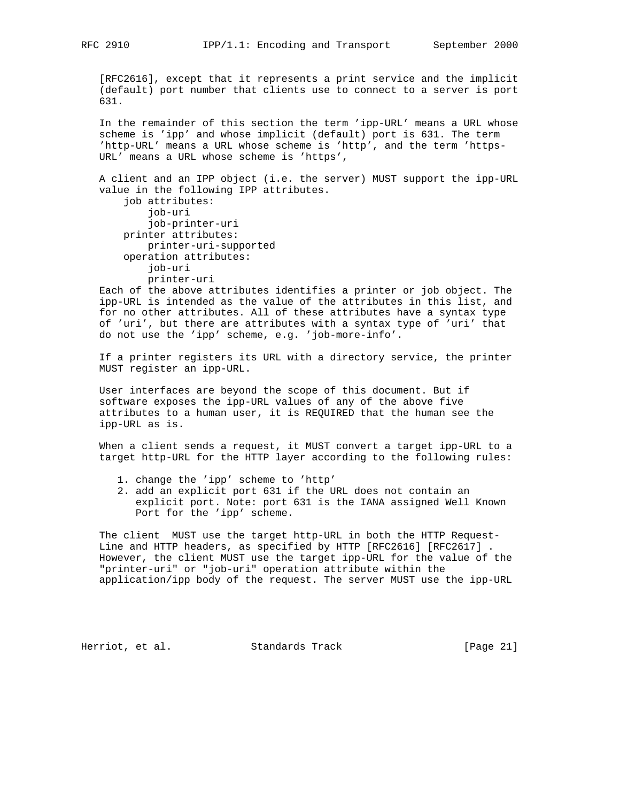[RFC2616], except that it represents a print service and the implicit (default) port number that clients use to connect to a server is port 631.

 In the remainder of this section the term 'ipp-URL' means a URL whose scheme is 'ipp' and whose implicit (default) port is 631. The term 'http-URL' means a URL whose scheme is 'http', and the term 'https-URL' means a URL whose scheme is 'https',

 A client and an IPP object (i.e. the server) MUST support the ipp-URL value in the following IPP attributes.

```
 job attributes:
     job-uri
     job-printer-uri
 printer attributes:
     printer-uri-supported
 operation attributes:
    job-uri
     printer-uri
```
 Each of the above attributes identifies a printer or job object. The ipp-URL is intended as the value of the attributes in this list, and for no other attributes. All of these attributes have a syntax type of 'uri', but there are attributes with a syntax type of 'uri' that do not use the 'ipp' scheme, e.g. 'job-more-info'.

 If a printer registers its URL with a directory service, the printer MUST register an ipp-URL.

 User interfaces are beyond the scope of this document. But if software exposes the ipp-URL values of any of the above five attributes to a human user, it is REQUIRED that the human see the ipp-URL as is.

 When a client sends a request, it MUST convert a target ipp-URL to a target http-URL for the HTTP layer according to the following rules:

- 1. change the 'ipp' scheme to 'http'
- 2. add an explicit port 631 if the URL does not contain an explicit port. Note: port 631 is the IANA assigned Well Known Port for the 'ipp' scheme.

 The client MUST use the target http-URL in both the HTTP Request- Line and HTTP headers, as specified by HTTP [RFC2616] [RFC2617] . However, the client MUST use the target ipp-URL for the value of the "printer-uri" or "job-uri" operation attribute within the application/ipp body of the request. The server MUST use the ipp-URL

Herriot, et al. Standards Track [Page 21]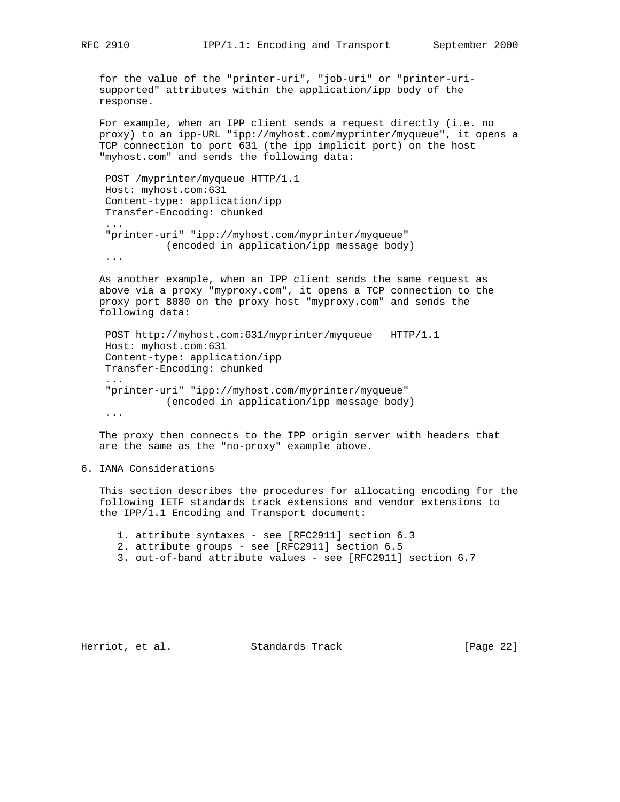for the value of the "printer-uri", "job-uri" or "printer-uri supported" attributes within the application/ipp body of the response.

 For example, when an IPP client sends a request directly (i.e. no proxy) to an ipp-URL "ipp://myhost.com/myprinter/myqueue", it opens a TCP connection to port 631 (the ipp implicit port) on the host "myhost.com" and sends the following data:

 POST /myprinter/myqueue HTTP/1.1 Host: myhost.com:631 Content-type: application/ipp Transfer-Encoding: chunked ... "printer-uri" "ipp://myhost.com/myprinter/myqueue" (encoded in application/ipp message body)

...

 As another example, when an IPP client sends the same request as above via a proxy "myproxy.com", it opens a TCP connection to the proxy port 8080 on the proxy host "myproxy.com" and sends the following data:

 POST http://myhost.com:631/myprinter/myqueue HTTP/1.1 Host: myhost.com:631 ... "printer-uri" "ipp://myhost.com/myprinter/myqueue" (encoded in application/ipp message body)

...

 The proxy then connects to the IPP origin server with headers that are the same as the "no-proxy" example above.

## 6. IANA Considerations

 This section describes the procedures for allocating encoding for the following IETF standards track extensions and vendor extensions to the IPP/1.1 Encoding and Transport document:

1. attribute syntaxes - see [RFC2911] section 6.3

- 2. attribute groups see [RFC2911] section 6.5
- 3. out-of-band attribute values see [RFC2911] section 6.7

 Content-type: application/ipp Transfer-Encoding: chunked

Herriot, et al. Standards Track [Page 22]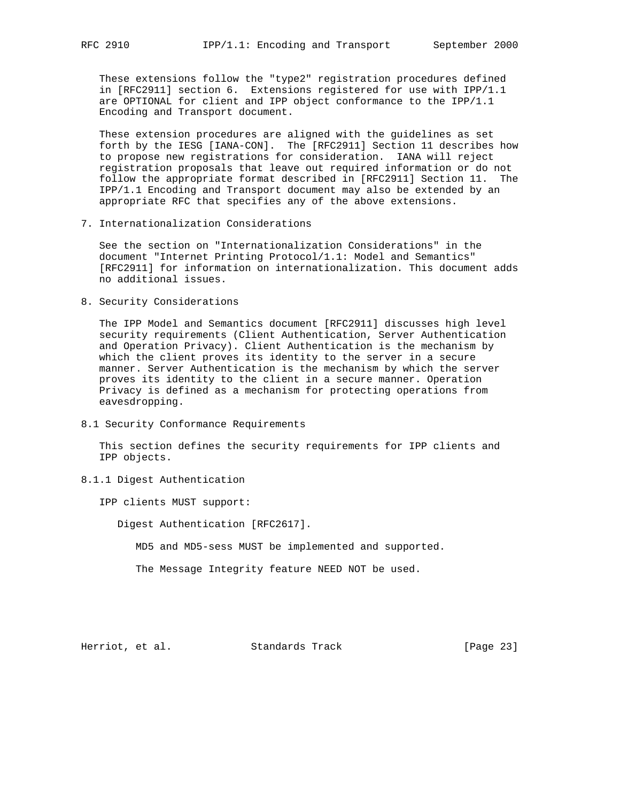These extensions follow the "type2" registration procedures defined in [RFC2911] section 6. Extensions registered for use with IPP/1.1 are OPTIONAL for client and IPP object conformance to the IPP/1.1 Encoding and Transport document.

 These extension procedures are aligned with the guidelines as set forth by the IESG [IANA-CON]. The [RFC2911] Section 11 describes how to propose new registrations for consideration. IANA will reject registration proposals that leave out required information or do not follow the appropriate format described in [RFC2911] Section 11. The IPP/1.1 Encoding and Transport document may also be extended by an appropriate RFC that specifies any of the above extensions.

7. Internationalization Considerations

 See the section on "Internationalization Considerations" in the document "Internet Printing Protocol/1.1: Model and Semantics" [RFC2911] for information on internationalization. This document adds no additional issues.

8. Security Considerations

 The IPP Model and Semantics document [RFC2911] discusses high level security requirements (Client Authentication, Server Authentication and Operation Privacy). Client Authentication is the mechanism by which the client proves its identity to the server in a secure manner. Server Authentication is the mechanism by which the server proves its identity to the client in a secure manner. Operation Privacy is defined as a mechanism for protecting operations from eavesdropping.

8.1 Security Conformance Requirements

 This section defines the security requirements for IPP clients and IPP objects.

8.1.1 Digest Authentication

IPP clients MUST support:

Digest Authentication [RFC2617].

MD5 and MD5-sess MUST be implemented and supported.

The Message Integrity feature NEED NOT be used.

Herriot, et al. Standards Track [Page 23]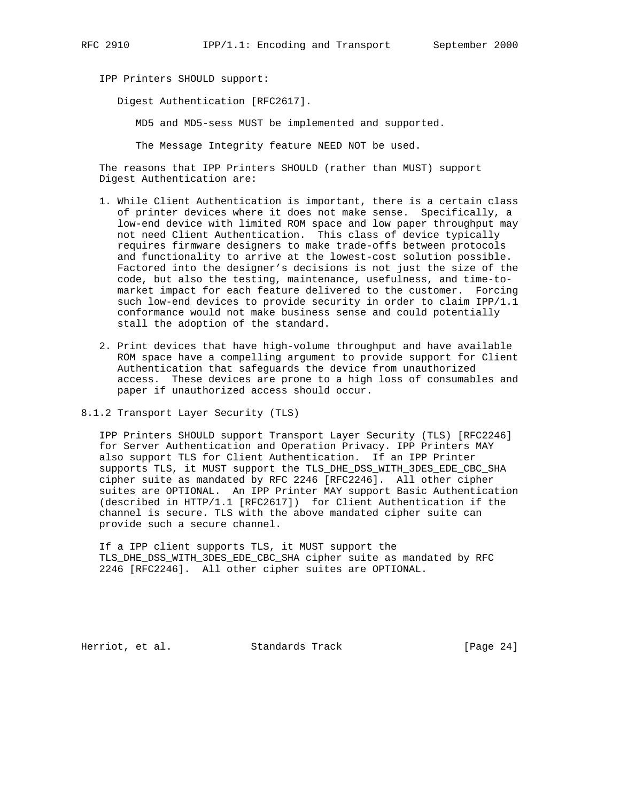IPP Printers SHOULD support:

Digest Authentication [RFC2617].

MD5 and MD5-sess MUST be implemented and supported.

The Message Integrity feature NEED NOT be used.

 The reasons that IPP Printers SHOULD (rather than MUST) support Digest Authentication are:

- 1. While Client Authentication is important, there is a certain class of printer devices where it does not make sense. Specifically, a low-end device with limited ROM space and low paper throughput may not need Client Authentication. This class of device typically requires firmware designers to make trade-offs between protocols and functionality to arrive at the lowest-cost solution possible. Factored into the designer's decisions is not just the size of the code, but also the testing, maintenance, usefulness, and time-to market impact for each feature delivered to the customer. Forcing such low-end devices to provide security in order to claim IPP/1.1 conformance would not make business sense and could potentially stall the adoption of the standard.
- 2. Print devices that have high-volume throughput and have available ROM space have a compelling argument to provide support for Client Authentication that safeguards the device from unauthorized access. These devices are prone to a high loss of consumables and paper if unauthorized access should occur.
- 8.1.2 Transport Layer Security (TLS)

 IPP Printers SHOULD support Transport Layer Security (TLS) [RFC2246] for Server Authentication and Operation Privacy. IPP Printers MAY also support TLS for Client Authentication. If an IPP Printer supports TLS, it MUST support the TLS\_DHE\_DSS\_WITH\_3DES\_EDE\_CBC\_SHA cipher suite as mandated by RFC 2246 [RFC2246]. All other cipher suites are OPTIONAL. An IPP Printer MAY support Basic Authentication (described in HTTP/1.1 [RFC2617]) for Client Authentication if the channel is secure. TLS with the above mandated cipher suite can provide such a secure channel.

 If a IPP client supports TLS, it MUST support the TLS\_DHE\_DSS\_WITH\_3DES\_EDE\_CBC\_SHA cipher suite as mandated by RFC 2246 [RFC2246]. All other cipher suites are OPTIONAL.

Herriot, et al. Standards Track [Page 24]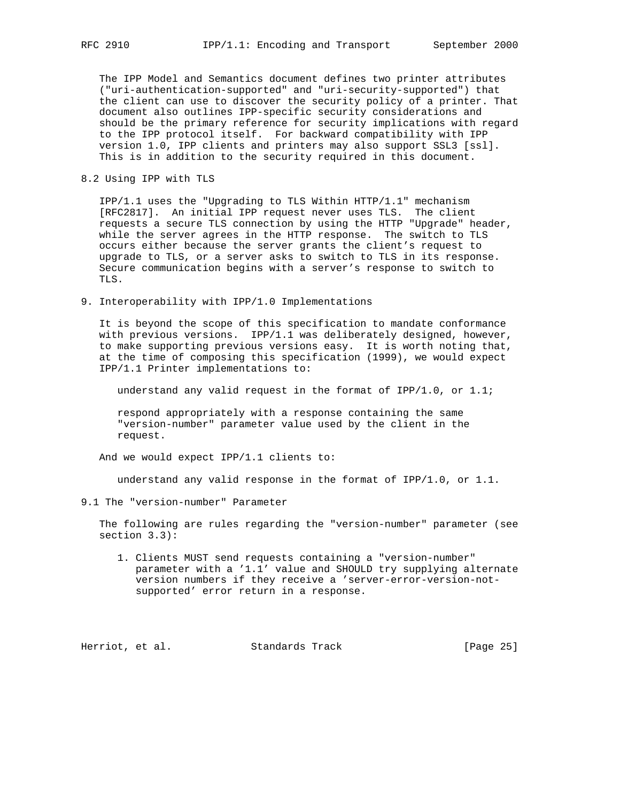The IPP Model and Semantics document defines two printer attributes ("uri-authentication-supported" and "uri-security-supported") that the client can use to discover the security policy of a printer. That document also outlines IPP-specific security considerations and should be the primary reference for security implications with regard to the IPP protocol itself. For backward compatibility with IPP version 1.0, IPP clients and printers may also support SSL3 [ssl]. This is in addition to the security required in this document.

8.2 Using IPP with TLS

 IPP/1.1 uses the "Upgrading to TLS Within HTTP/1.1" mechanism [RFC2817]. An initial IPP request never uses TLS. The client requests a secure TLS connection by using the HTTP "Upgrade" header, while the server agrees in the HTTP response. The switch to TLS occurs either because the server grants the client's request to upgrade to TLS, or a server asks to switch to TLS in its response. Secure communication begins with a server's response to switch to TLS.

9. Interoperability with IPP/1.0 Implementations

 It is beyond the scope of this specification to mandate conformance with previous versions. IPP/1.1 was deliberately designed, however, to make supporting previous versions easy. It is worth noting that, at the time of composing this specification (1999), we would expect IPP/1.1 Printer implementations to:

understand any valid request in the format of IPP/1.0, or 1.1;

 respond appropriately with a response containing the same "version-number" parameter value used by the client in the request.

And we would expect IPP/1.1 clients to:

understand any valid response in the format of IPP/1.0, or 1.1.

9.1 The "version-number" Parameter

 The following are rules regarding the "version-number" parameter (see section 3.3):

 1. Clients MUST send requests containing a "version-number" parameter with a '1.1' value and SHOULD try supplying alternate version numbers if they receive a 'server-error-version-not supported' error return in a response.

Herriot, et al. Standards Track [Page 25]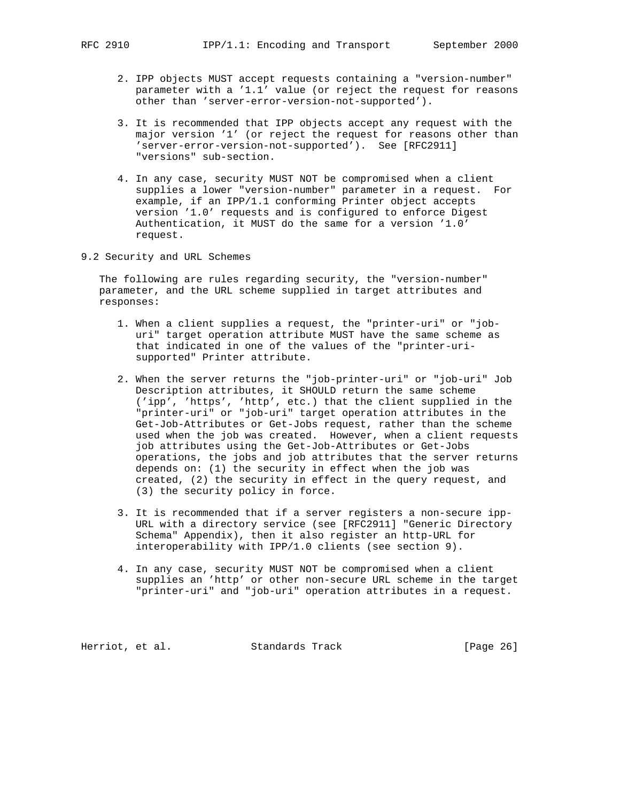- 2. IPP objects MUST accept requests containing a "version-number" parameter with a '1.1' value (or reject the request for reasons other than 'server-error-version-not-supported').
- 3. It is recommended that IPP objects accept any request with the major version '1' (or reject the request for reasons other than 'server-error-version-not-supported'). See [RFC2911] "versions" sub-section.
- 4. In any case, security MUST NOT be compromised when a client supplies a lower "version-number" parameter in a request. For example, if an IPP/1.1 conforming Printer object accepts version '1.0' requests and is configured to enforce Digest Authentication, it MUST do the same for a version '1.0' request.
- 9.2 Security and URL Schemes

 The following are rules regarding security, the "version-number" parameter, and the URL scheme supplied in target attributes and responses:

- 1. When a client supplies a request, the "printer-uri" or "job uri" target operation attribute MUST have the same scheme as that indicated in one of the values of the "printer-uri supported" Printer attribute.
- 2. When the server returns the "job-printer-uri" or "job-uri" Job Description attributes, it SHOULD return the same scheme ('ipp', 'https', 'http', etc.) that the client supplied in the "printer-uri" or "job-uri" target operation attributes in the Get-Job-Attributes or Get-Jobs request, rather than the scheme used when the job was created. However, when a client requests job attributes using the Get-Job-Attributes or Get-Jobs operations, the jobs and job attributes that the server returns depends on: (1) the security in effect when the job was created, (2) the security in effect in the query request, and (3) the security policy in force.
- 3. It is recommended that if a server registers a non-secure ipp- URL with a directory service (see [RFC2911] "Generic Directory Schema" Appendix), then it also register an http-URL for interoperability with IPP/1.0 clients (see section 9).
- 4. In any case, security MUST NOT be compromised when a client supplies an 'http' or other non-secure URL scheme in the target "printer-uri" and "job-uri" operation attributes in a request.

Herriot, et al. Standards Track [Page 26]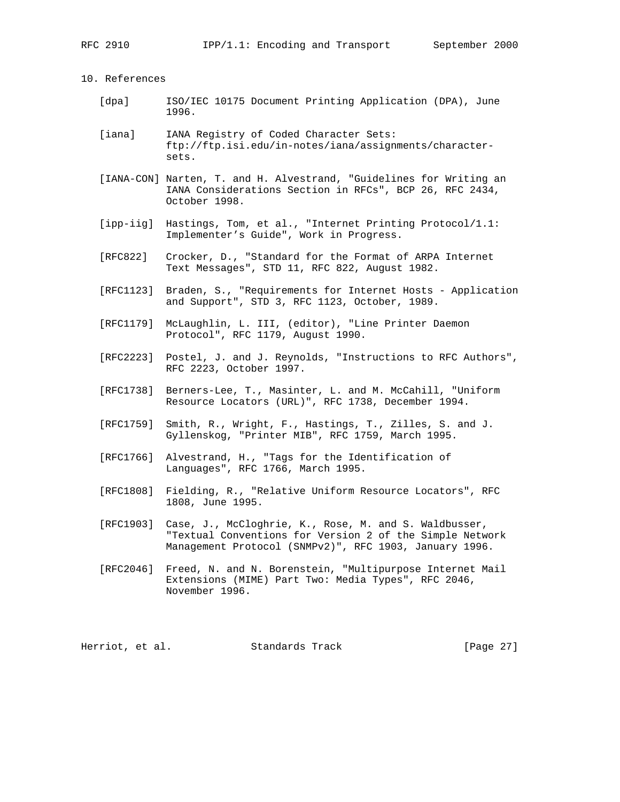10. References

- [dpa] ISO/IEC 10175 Document Printing Application (DPA), June 1996.
- [iana] IANA Registry of Coded Character Sets: ftp://ftp.isi.edu/in-notes/iana/assignments/character sets.
- [IANA-CON] Narten, T. and H. Alvestrand, "Guidelines for Writing an IANA Considerations Section in RFCs", BCP 26, RFC 2434, October 1998.
- [ipp-iig] Hastings, Tom, et al., "Internet Printing Protocol/1.1: Implementer's Guide", Work in Progress.
- [RFC822] Crocker, D., "Standard for the Format of ARPA Internet Text Messages", STD 11, RFC 822, August 1982.
- [RFC1123] Braden, S., "Requirements for Internet Hosts Application and Support", STD 3, RFC 1123, October, 1989.
- [RFC1179] McLaughlin, L. III, (editor), "Line Printer Daemon Protocol", RFC 1179, August 1990.
- [RFC2223] Postel, J. and J. Reynolds, "Instructions to RFC Authors", RFC 2223, October 1997.
- [RFC1738] Berners-Lee, T., Masinter, L. and M. McCahill, "Uniform Resource Locators (URL)", RFC 1738, December 1994.
- [RFC1759] Smith, R., Wright, F., Hastings, T., Zilles, S. and J. Gyllenskog, "Printer MIB", RFC 1759, March 1995.
- [RFC1766] Alvestrand, H., "Tags for the Identification of Languages", RFC 1766, March 1995.
- [RFC1808] Fielding, R., "Relative Uniform Resource Locators", RFC 1808, June 1995.
- [RFC1903] Case, J., McCloghrie, K., Rose, M. and S. Waldbusser, "Textual Conventions for Version 2 of the Simple Network Management Protocol (SNMPv2)", RFC 1903, January 1996.
- [RFC2046] Freed, N. and N. Borenstein, "Multipurpose Internet Mail Extensions (MIME) Part Two: Media Types", RFC 2046, November 1996.

Herriot, et al. Standards Track [Page 27]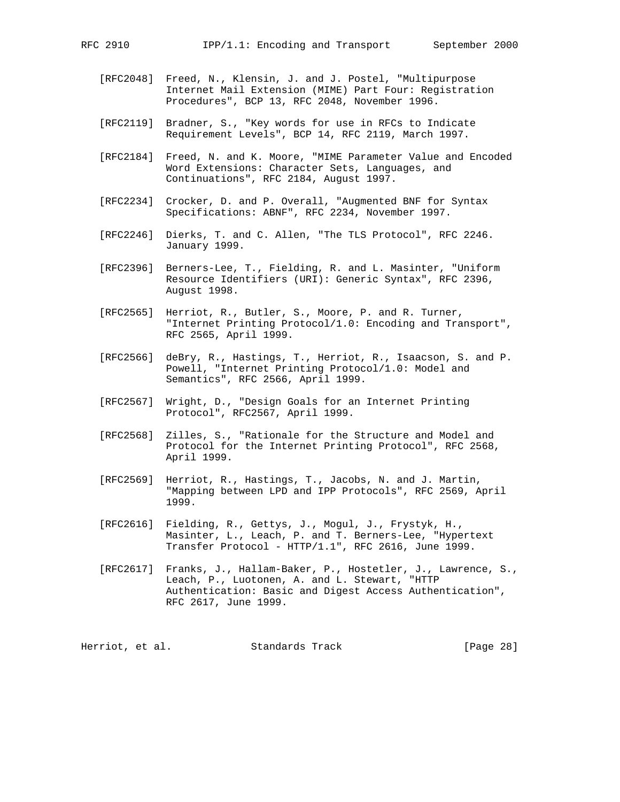- [RFC2048] Freed, N., Klensin, J. and J. Postel, "Multipurpose Internet Mail Extension (MIME) Part Four: Registration Procedures", BCP 13, RFC 2048, November 1996.
- [RFC2119] Bradner, S., "Key words for use in RFCs to Indicate Requirement Levels", BCP 14, RFC 2119, March 1997.
- [RFC2184] Freed, N. and K. Moore, "MIME Parameter Value and Encoded Word Extensions: Character Sets, Languages, and Continuations", RFC 2184, August 1997.
- [RFC2234] Crocker, D. and P. Overall, "Augmented BNF for Syntax Specifications: ABNF", RFC 2234, November 1997.
- [RFC2246] Dierks, T. and C. Allen, "The TLS Protocol", RFC 2246. January 1999.
- [RFC2396] Berners-Lee, T., Fielding, R. and L. Masinter, "Uniform Resource Identifiers (URI): Generic Syntax", RFC 2396, August 1998.
- [RFC2565] Herriot, R., Butler, S., Moore, P. and R. Turner, "Internet Printing Protocol/1.0: Encoding and Transport", RFC 2565, April 1999.
- [RFC2566] deBry, R., Hastings, T., Herriot, R., Isaacson, S. and P. Powell, "Internet Printing Protocol/1.0: Model and Semantics", RFC 2566, April 1999.
- [RFC2567] Wright, D., "Design Goals for an Internet Printing Protocol", RFC2567, April 1999.
- [RFC2568] Zilles, S., "Rationale for the Structure and Model and Protocol for the Internet Printing Protocol", RFC 2568, April 1999.
- [RFC2569] Herriot, R., Hastings, T., Jacobs, N. and J. Martin, "Mapping between LPD and IPP Protocols", RFC 2569, April 1999.
- [RFC2616] Fielding, R., Gettys, J., Mogul, J., Frystyk, H., Masinter, L., Leach, P. and T. Berners-Lee, "Hypertext Transfer Protocol - HTTP/1.1", RFC 2616, June 1999.
- [RFC2617] Franks, J., Hallam-Baker, P., Hostetler, J., Lawrence, S., Leach, P., Luotonen, A. and L. Stewart, "HTTP Authentication: Basic and Digest Access Authentication", RFC 2617, June 1999.

Herriot, et al. Standards Track [Page 28]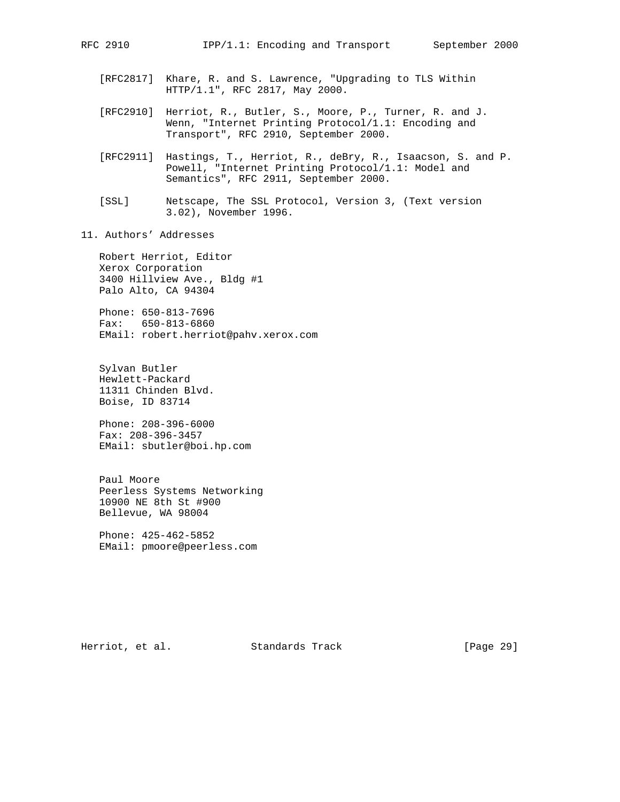- - [RFC2817] Khare, R. and S. Lawrence, "Upgrading to TLS Within HTTP/1.1", RFC 2817, May 2000.
	- [RFC2910] Herriot, R., Butler, S., Moore, P., Turner, R. and J. Wenn, "Internet Printing Protocol/1.1: Encoding and Transport", RFC 2910, September 2000.
	- [RFC2911] Hastings, T., Herriot, R., deBry, R., Isaacson, S. and P. Powell, "Internet Printing Protocol/1.1: Model and Semantics", RFC 2911, September 2000.
	- [SSL] Netscape, The SSL Protocol, Version 3, (Text version 3.02), November 1996.
- 11. Authors' Addresses

 Robert Herriot, Editor Xerox Corporation 3400 Hillview Ave., Bldg #1 Palo Alto, CA 94304

 Phone: 650-813-7696 Fax: 650-813-6860 EMail: robert.herriot@pahv.xerox.com

 Sylvan Butler Hewlett-Packard 11311 Chinden Blvd. Boise, ID 83714

 Phone: 208-396-6000 Fax: 208-396-3457 EMail: sbutler@boi.hp.com

 Paul Moore Peerless Systems Networking 10900 NE 8th St #900 Bellevue, WA 98004

 Phone: 425-462-5852 EMail: pmoore@peerless.com

Herriot, et al. Standards Track [Page 29]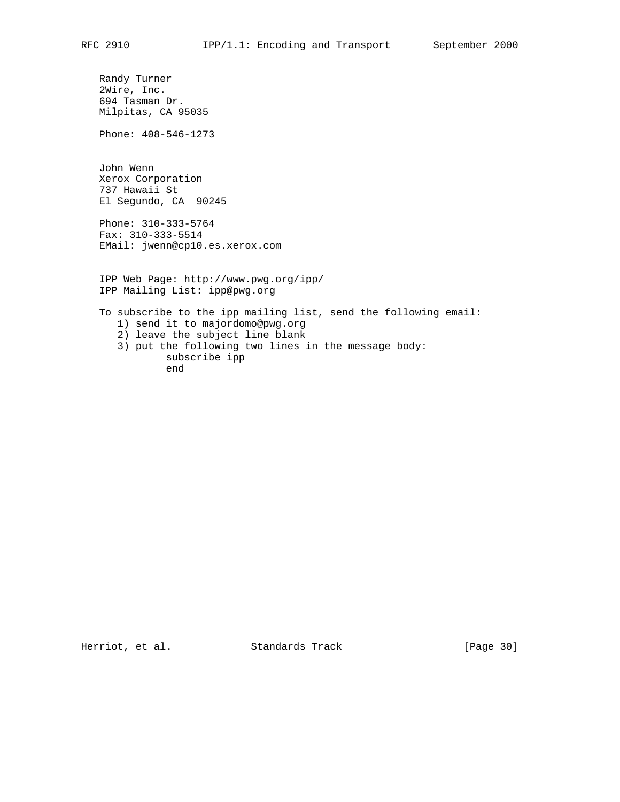Randy Turner 2Wire, Inc. 694 Tasman Dr. Milpitas, CA 95035

Phone: 408-546-1273

 John Wenn Xerox Corporation 737 Hawaii St El Segundo, CA 90245

 Phone: 310-333-5764 Fax: 310-333-5514 EMail: jwenn@cp10.es.xerox.com

 IPP Web Page: http://www.pwg.org/ipp/ IPP Mailing List: ipp@pwg.org

 To subscribe to the ipp mailing list, send the following email: 1) send it to majordomo@pwg.org 2) leave the subject line blank 3) put the following two lines in the message body: subscribe ipp end

Herriot, et al. Standards Track [Page 30]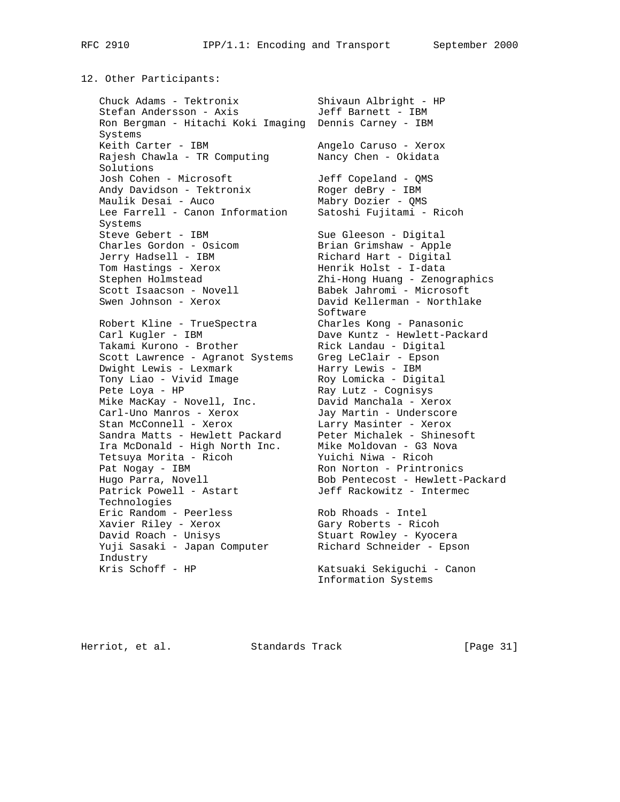#### 12. Other Participants:

 Chuck Adams - Tektronix Shivaun Albright - HP Stefan Andersson - Axis Jeff Barnett - IBM Ron Bergman - Hitachi Koki Imaging Dennis Carney - IBM Systems Keith Carter - IBM Angelo Caruso - Xerox Rajesh Chawla - TR Computing Nancy Chen - Okidata Solutions Josh Cohen - Microsoft Jeff Copeland - QMS Andy Davidson - Tektronix Moger deBry - IBM Maulik Desai - Auco Mabry Dozier - QMS Lee Farrell - Canon Information Satoshi Fujitami - Ricoh Systems Steve Gebert - IBM Sue Gleeson - Digital Charles Gordon - Osicom Brian Grimshaw - Apple Jerry Hadsell - IBM Richard Hart - Digital Tom Hastings - Xerox Menrik Holst - I-data Stephen Holmstead Zhi-Hong Huang - Zenographics Scott Isaacson - Novell Babek Jahromi - Microsoft Swen Johnson - Xerox David Kellerman - Northlake Software Software Robert Kline - TrueSpectra Charles Kong - Panasonic Carl Kugler - IBM Dave Kuntz - Hewlett-Packard Takami Kurono - Brother Rick Landau - Digital Scott Lawrence - Agranot Systems Greg LeClair - Epson Dwight Lewis - Lexmark Marry Lewis - IBM Tony Liao - Vivid Image Roy Lomicka - Digital Pete Loya - HP Ray Lutz - Cognisys Mike MacKay - Novell, Inc. David Manchala - Xerox Carl-Uno Manros - Xerox Jay Martin - Underscore Stan McConnell - Xerox Larry Masinter - Xerox Sandra Matts - Hewlett Packard Peter Michalek - Shinesoft Ira McDonald - High North Inc. Mike Moldovan - G3 Nova Tetsuya Morita - Ricoh Yuichi Niwa - Ricoh Pat Nogay - IBM Ron Norton - Printronics Hugo Parra, Novell Bob Pentecost - Hewlett-Packard Patrick Powell - Astart Jeff Rackowitz - Intermec Technologies Eric Random - Peerless Rob Rhoads - Intel Xavier Riley - Xerox Gary Roberts - Ricoh David Roach - Unisys Stuart Rowley - Kyocera Yuji Sasaki - Japan Computer Richard Schneider - Epson Industry Kris Schoff - HP Katsuaki Sekiguchi - Canon

Information Systems

Herriot, et al. Standards Track [Page 31]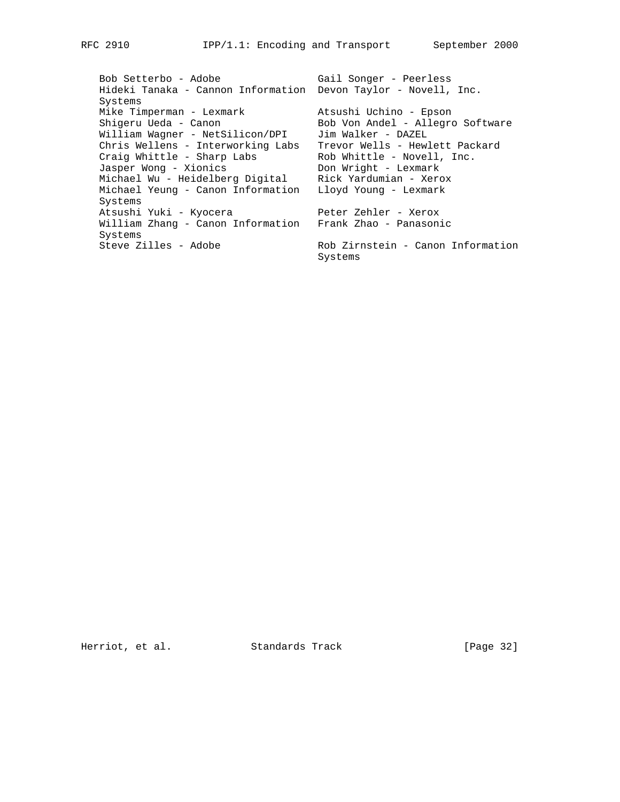Bob Setterbo - Adobe Gail Songer - Peerless Hideki Tanaka - Cannon Information Devon Taylor - Novell, Inc. Systems Mike Timperman - Lexmark Atsushi Uchino - Epson Shigeru Ueda - Canon Bob Von Andel - Allegro Software William Wagner - NetSilicon/DPI Jim Walker - DAZEL Chris Wellens - Interworking Labs Trevor Wells - Hewlett Packard Craig Whittle - Sharp Labs Rob Whittle - Novell, Inc. Jasper Wong - Xionics Don Wright - Lexmark Michael Wu - Heidelberg Digital Rick Yardumian - Xerox Michael Yeung - Canon Information Lloyd Young - Lexmark Systems Atsushi Yuki - Kyocera Peter Zehler - Xerox William Zhang - Canon Information Frank Zhao - Panasonic Systems Steve Zilles - Adobe Rob Zirnstein - Canon Information Systems

Herriot, et al. Standards Track [Page 32]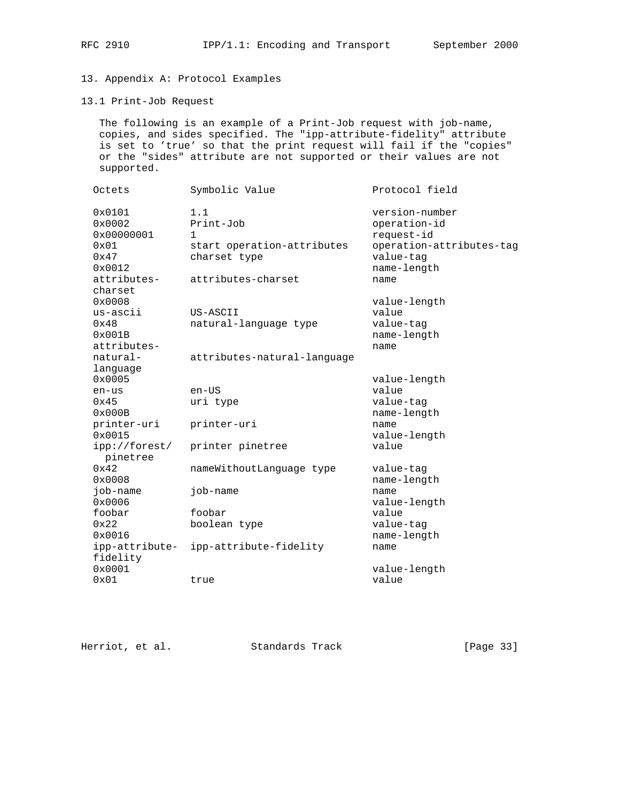# 13. Appendix A: Protocol Examples

#### 13.1 Print-Job Request

 The following is an example of a Print-Job request with job-name, copies, and sides specified. The "ipp-attribute-fidelity" attribute is set to 'true' so that the print request will fail if the "copies" or the "sides" attribute are not supported or their values are not supported.

| Octets                                                                           | Symbolic Value                                                                            | Protocol field                                                                                               |
|----------------------------------------------------------------------------------|-------------------------------------------------------------------------------------------|--------------------------------------------------------------------------------------------------------------|
| 0x0101<br>0x0002<br>0x00000001<br>0x01<br>$0 \times 47$<br>0x0012<br>attributes- | 1.1<br>Print-Job<br>1<br>start operation-attributes<br>charset type<br>attributes-charset | version-number<br>operation-id<br>request-id<br>operation-attributes-tag<br>value-tag<br>name-length<br>name |
| charset<br>0x0008<br>us-ascii<br>0x48<br>0x001B<br>attributes-                   | US-ASCII<br>natural-language type                                                         | value-length<br>value<br>value-tag<br>name-length<br>name                                                    |
| natural-<br>language                                                             | attributes-natural-language                                                               |                                                                                                              |
| 0x0005<br>en-us<br>0x45<br>0x000B                                                | en-US<br>uri type                                                                         | value-length<br>value<br>value-tag<br>name-length                                                            |
| printer-uri<br>0x0015                                                            | printer-uri                                                                               | name<br>value-length<br>value                                                                                |
| ipp://forest/<br>pinetree                                                        | printer pinetree                                                                          |                                                                                                              |
| 0x42<br>0x0008                                                                   | nameWithoutLanguage type                                                                  | value-tag<br>name-length                                                                                     |
| job-name<br>0x0006                                                               | job-name                                                                                  | name<br>value-length                                                                                         |
| foobar<br>0x22                                                                   | foobar<br>boolean type                                                                    | value<br>value-tag                                                                                           |
| 0x0016                                                                           |                                                                                           | name-length                                                                                                  |
| ipp-attribute-<br>fidelity<br>0x0001                                             | ipp-attribute-fidelity                                                                    | name                                                                                                         |
| 0x01                                                                             | true                                                                                      | value-length<br>value                                                                                        |

Herriot, et al. Standards Track [Page 33]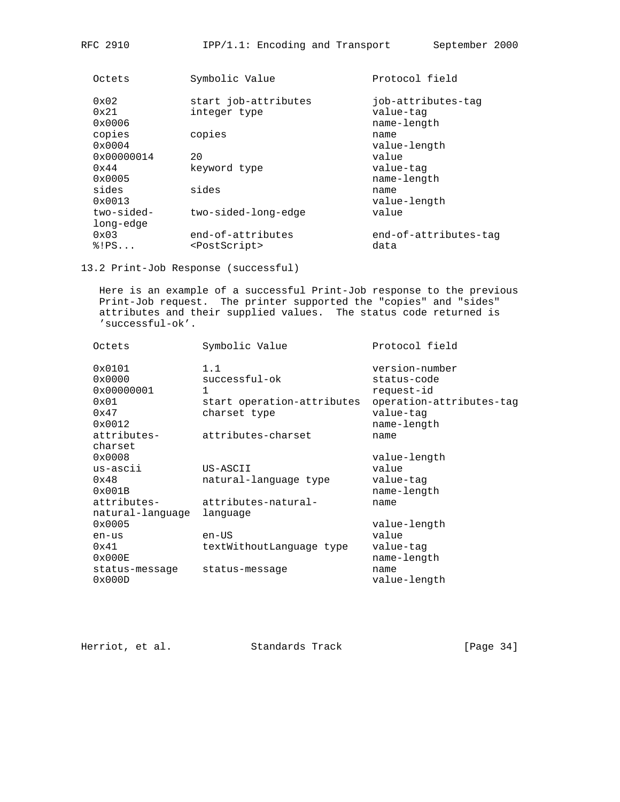| Octets                           | Symbolic Value                                 | Protocol field                |
|----------------------------------|------------------------------------------------|-------------------------------|
| $0 \times 02$                    | start job-attributes                           | job-attributes-tag            |
| 0x21<br>0x0006                   | integer type                                   | value-tag<br>name-length      |
| copies<br>$0 \times 0004$        | copies                                         | name<br>value-length          |
| 0x00000014                       | 20                                             | value                         |
| $0 \times 44$<br>$0 \times 0005$ | keyword type                                   | value-tag<br>name-length      |
| sides<br>$0 \times 0013$         | sides                                          | name<br>value-length          |
| two-sided-<br>long-edge          | two-sided-long-edge                            | value                         |
| 0x03<br>$\S$ !PS                 | end-of-attributes<br><postscript></postscript> | end-of-attributes-tag<br>data |
|                                  |                                                |                               |

13.2 Print-Job Response (successful)

 Here is an example of a successful Print-Job response to the previous Print-Job request. The printer supported the "copies" and "sides" attributes and their supplied values. The status code returned is 'successful-ok'.

| Octets           | Symbolic Value             | Protocol field           |
|------------------|----------------------------|--------------------------|
| 0x0101           | 1.1                        | version-number           |
| 0x0000           | successful-ok              | status-code              |
| 0x00000001       | $\mathbf{1}$               | request-id               |
| 0x01             | start operation-attributes | operation-attributes-tag |
| 0x47             | charset type               | value-tag                |
| 0x0012           |                            | name-length              |
| attributes-      | attributes-charset         | name                     |
| charset          |                            |                          |
| 0x0008           |                            | value-length             |
| $us - ascii$     | US-ASCII                   | value                    |
| $0 \times 48$    | natural-language type      | value-tag                |
| 0x001B           |                            | name-length              |
| attributes-      | attributes-natural-        | name                     |
| natural-language | language                   |                          |
| 0x0005           |                            | value-length             |
| en-us            | $en$ –US                   | value                    |
| $0 \times 41$    | textWithoutLanguage type   | value-tag                |
| 0x000E           |                            | name-length              |
| status-message   | status-message             | name                     |
| 0x000D           |                            | value-length             |

| Herriot, et al. | Standards Track | [Page $34$ ] |
|-----------------|-----------------|--------------|
|                 |                 |              |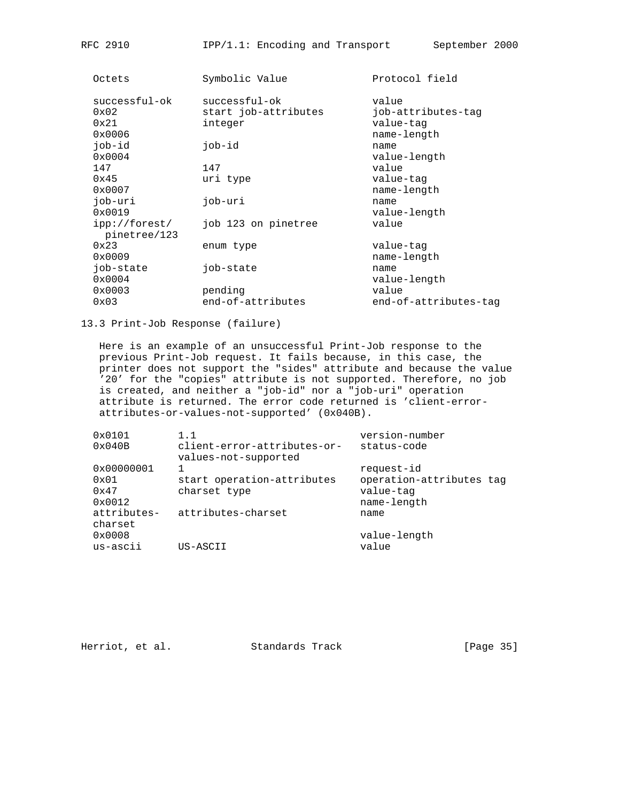| Octets                                 | Symbolic Value                                   | Protocol field                           |
|----------------------------------------|--------------------------------------------------|------------------------------------------|
| successful-ok<br>$0 \times 02$<br>0x21 | successful-ok<br>start job-attributes<br>integer | value<br>job-attributes-tag<br>value-tag |
| $0 \times 0006$                        |                                                  | name-length                              |
| job-id<br>$0 \times 0004$              | job-id                                           | name<br>value-length                     |
| 147                                    | 147                                              | value                                    |
| 0x45<br>0x0007                         | uri type                                         | value-tag<br>name-length                 |
| job-uri<br>$0 \times 0019$             | job-uri                                          | name<br>value-length                     |
| ipp://forest/<br>pinetree/123          | job 123 on pinetree                              | value                                    |
| 0x23<br>0x0009                         | enum type                                        | value-tag<br>name-length                 |
| job-state<br>$0 \times 0004$           | job-state                                        | name<br>value-length                     |
| 0x0003                                 | pending                                          | value                                    |
| 0x03                                   | end-of-attributes                                | end-of-attributes-tag                    |
|                                        |                                                  |                                          |

13.3 Print-Job Response (failure)

 Here is an example of an unsuccessful Print-Job response to the previous Print-Job request. It fails because, in this case, the printer does not support the "sides" attribute and because the value '20' for the "copies" attribute is not supported. Therefore, no job is created, and neither a "job-id" nor a "job-uri" operation attribute is returned. The error code returned is 'client-error attributes-or-values-not-supported' (0x040B).

| $0 \times 0101$        | 1.1                                                 | version-number           |
|------------------------|-----------------------------------------------------|--------------------------|
| 0x040B                 | client-error-attributes-or-<br>values-not-supported | status-code              |
| 0x00000001             |                                                     | request-id               |
| 0x01                   | start operation-attributes                          | operation-attributes tag |
| $0 \times 47$          | charset type                                        | value-tag                |
| 0x0012                 |                                                     | name-length              |
| attributes-<br>charset | attributes-charset                                  | name                     |
| 0x0008                 |                                                     | value-length             |
| us-ascii               | US-ASCII                                            | value                    |

Herriot, et al. Standards Track [Page 35]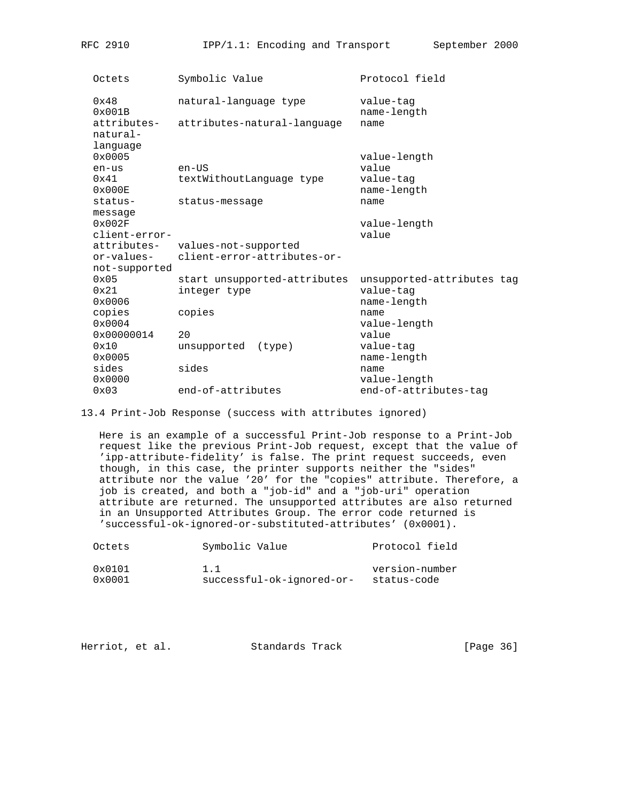| Octets                      | Symbolic Value               | Protocol field             |
|-----------------------------|------------------------------|----------------------------|
| 0x48<br>$0 \times 001B$     | natural-language type        | value-tag<br>name-length   |
| attributes-<br>natural-     | attributes-natural-language  | name                       |
| language<br>$0 \times 0005$ |                              | value-length               |
| en-us                       | $en$ -US                     | value                      |
| 0x41<br>$0 \times 000E$     | textWithoutLanguage type     | value-tag<br>name-length   |
| status-                     | status-message               | name                       |
| message                     |                              |                            |
| $0 \times 002F$             |                              | value-length               |
| client-error-               |                              | value                      |
| attributes-                 | values-not-supported         |                            |
| or-values-                  | client-error-attributes-or-  |                            |
| not-supported               |                              |                            |
| $0 \times 05$               | start unsupported-attributes | unsupported-attributes tag |
| 0x21                        | integer type                 | value-tag                  |
| 0x0006                      |                              | name-length                |
| copies                      | copies                       | name                       |
| $0 \times 0004$             | 2.0                          | value-length               |
| 0x00000014                  |                              | value                      |
| 0x10<br>0x0005              | unsupported<br>(type)        | value-tag<br>name-length   |
| sides                       | sides                        |                            |
| 0x0000                      |                              | name<br>value-length       |
| 0x03                        | end-of-attributes            | end-of-attributes-tag      |
|                             |                              |                            |

13.4 Print-Job Response (success with attributes ignored)

 Here is an example of a successful Print-Job response to a Print-Job request like the previous Print-Job request, except that the value of 'ipp-attribute-fidelity' is false. The print request succeeds, even though, in this case, the printer supports neither the "sides" attribute nor the value '20' for the "copies" attribute. Therefore, a job is created, and both a "job-id" and a "job-uri" operation attribute are returned. The unsupported attributes are also returned in an Unsupported Attributes Group. The error code returned is 'successful-ok-ignored-or-substituted-attributes' (0x0001).

| Octets          | Symbolic Value            | Protocol field |
|-----------------|---------------------------|----------------|
| $0 \times 0101$ | 1.1                       | version-number |
| $0 \times 0001$ | successful-ok-ignored-or- | status-code    |

| [Page 36]<br>Herriot, et al.<br>Standards Track |
|-------------------------------------------------|
|-------------------------------------------------|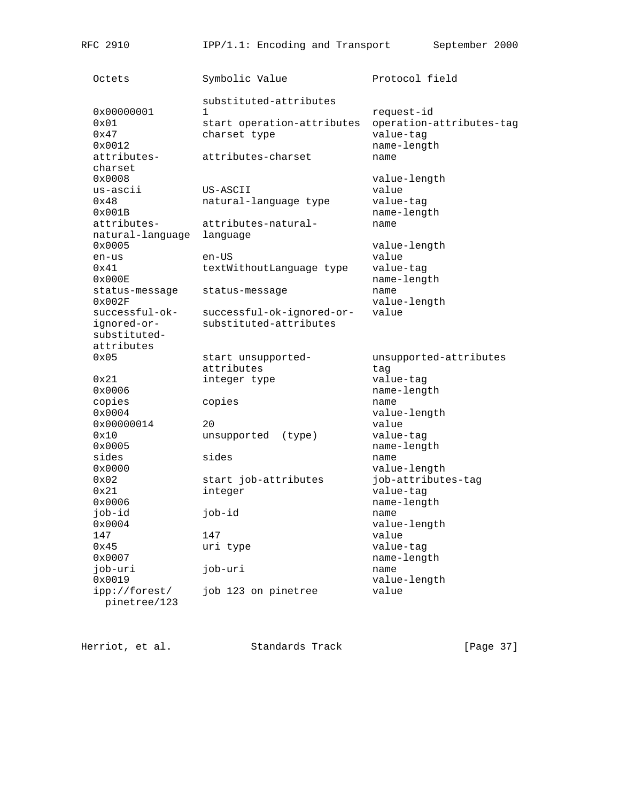Octets Symbolic Value Protocol field substituted-attributes 0x00000001 1 1 request-id 0x01 start operation-attributes operation-attributes-tag 0x47 charset type value-tag value-tag value-tag value-tag value-tag value-tag value-tag value-tag value-tag value-tag value-tag value-tag value-tag value-tag value-tag value-tag value-tag value-tag value-tag value-tag valu name-length attributes- attributes-charset name charset 0x0008 value-length<br>us-ascii US-ASCII value-length us-ascii<br>Ox48 natural-language type value-tag 0x001B name-length attributes- attributes-natural- name natural-language language 0x0005 value-length en-us en-US 0x41 textWithoutLanguage type value-tag<br>0x000E name-leng name-length status-message status-message name 0x002F value-length successful-ok- successful-ok-ignored-or- value ignored-or- substituted-attributes substituted attributes 0x05 start unsupported- unsupported-attributes attributes tag 0x21 integer type value-tag 0x0006 10x0006 name-length<br>copies copies copies 2008 name  $\frac{\text{copies}}{\text{0x0004}}$  copies value-length 0x00000014 20 value 0x10 unsupported (type) value-tag 0x0005 name-length sides sides name 0x0000 value-length 0x02 start job-attributes job-attributes-tag 0x21 integer value-tag<br>0x0006 10x0006 10x0006 10x0006 10x0006 10x0006 10x0006 10x0006 10x0006 10x0006 10x0006 10x0006 10x0006 10x00 name-length job-id job-id name value-length 147 147 value 0x45 value-tag uri type value-tag 0x0007 name-length job-uri job-uri name 0x0019 value-length ipp://forest/ job 123 on pinetree value pinetree/123

RFC 2910 **IPP/1.1:** Encoding and Transport September 2000

Herriot, et al. Standards Track [Page 37]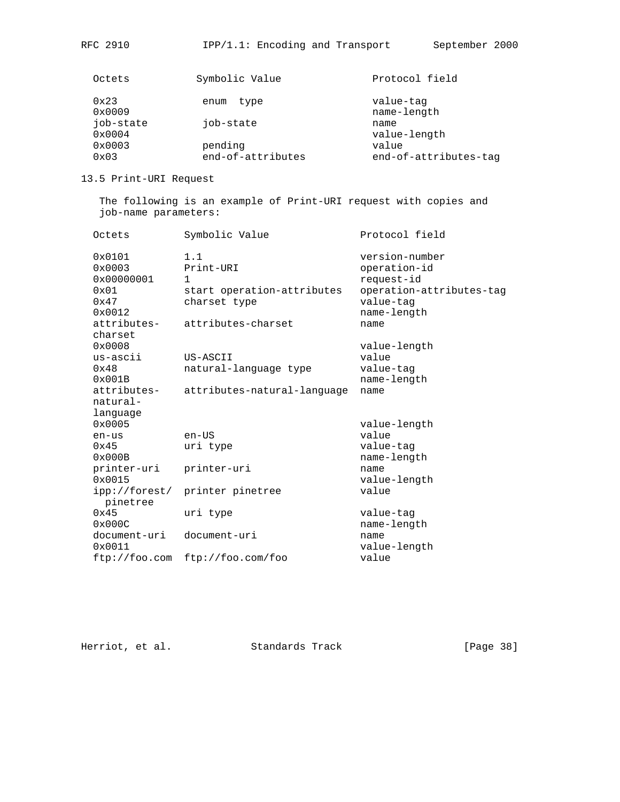| Octets    | Symbolic Value    | Protocol field        |
|-----------|-------------------|-----------------------|
| 0x23      | type<br>enum      | value-tag             |
| 0x0009    |                   | name-length           |
| job-state | job-state         | name                  |
| 0x0004    |                   | value-length          |
| 0x0003    | pending           | value                 |
| 0x03      | end-of-attributes | end-of-attributes-tag |
|           |                   |                       |

# 13.5 Print-URI Request

 The following is an example of Print-URI request with copies and job-name parameters:

| Octets                                                                  | Symbolic Value                                                                                       | Protocol field                                                                                       |
|-------------------------------------------------------------------------|------------------------------------------------------------------------------------------------------|------------------------------------------------------------------------------------------------------|
| 0x0101<br>0x0003<br>0x00000001<br>0x01<br>0x47<br>0x0012<br>attributes- | 1.1<br>Print-URI<br>$\mathbf{1}$<br>start operation-attributes<br>charset type<br>attributes-charset | version-number<br>operation-id<br>request-id<br>operation-attributes-tag<br>value-tag<br>name-length |
| charset                                                                 |                                                                                                      | name                                                                                                 |
| 0x0008<br>us-ascii<br>$0 \times 48$<br>0x001B                           | US-ASCII<br>natural-language type                                                                    | value-length<br>value<br>value-tag<br>name-length                                                    |
| attributes-<br>natural-<br>language                                     | attributes-natural-language                                                                          | name                                                                                                 |
| 0x0005                                                                  |                                                                                                      | value-length                                                                                         |
| en-us                                                                   | $en$ –US                                                                                             | value                                                                                                |
| $0 \times 45$<br>0x000B                                                 | uri type                                                                                             | value-tag<br>name-length                                                                             |
| printer-uri<br>0x0015                                                   | printer-uri                                                                                          | name<br>value-length                                                                                 |
| ipp://forest/<br>pinetree                                               | printer pinetree                                                                                     | value                                                                                                |
| 0x45<br>0x000C                                                          | uri type                                                                                             | value-tag<br>name-length                                                                             |
| document-uri<br>$0 \times 0011$                                         | document-uri                                                                                         | name<br>value-length                                                                                 |
| ftp://foo.com                                                           | ftp://foo.com/foo                                                                                    | value                                                                                                |

Herriot, et al. Standards Track [Page 38]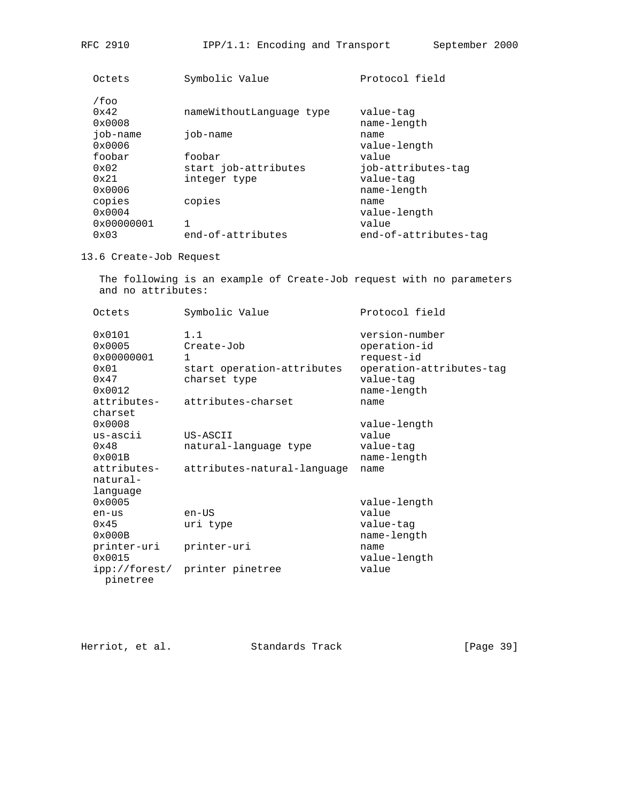| Symbolic Value<br>Octets                                             | Protocol field           |
|----------------------------------------------------------------------|--------------------------|
| /foo<br>$0 \times 42$<br>nameWithoutLanguage type<br>$0 \times 0008$ | value-tag<br>name-length |
| job-name<br>job-name<br>name<br>$0 \times 0006$                      | value-length             |
| foobar<br>foobar                                                     | value                    |
| start job-attributes<br>$0 \times 02$                                | job-attributes-tag       |
| $0 \times 21$<br>integer type<br>$0 \times 0006$                     | value-tag<br>name-length |
| copies<br>copies<br>name<br>$0 \times 0004$                          | value-length             |
| 1<br>$0 \times 00000001$                                             | value                    |
| end-of-attributes<br>$0 \times 03$                                   | end-of-attributes-tag    |

# 13.6 Create-Job Request

 The following is an example of Create-Job request with no parameters and no attributes:

| Octets                                                                                       | Symbolic Value                                                                  | Protocol field                                                                                       |
|----------------------------------------------------------------------------------------------|---------------------------------------------------------------------------------|------------------------------------------------------------------------------------------------------|
| $0 \times 0101$<br>$0 \times 0005$<br>0x00000001<br>$0 \times 01$<br>$0 \times 47$<br>0x0012 | 1.1<br>Create-Job<br>$\mathbf{1}$<br>start operation-attributes<br>charset type | version-number<br>operation-id<br>request-id<br>operation-attributes-tag<br>value-tag<br>name-length |
| charset<br>$0 \times 0008$<br>$us - ascii$                                                   | attributes- attributes-charset<br>US-ASCII                                      | name<br>value-length<br>value                                                                        |
| $0 \times 48$<br>$0 \times 001B$                                                             | natural-language type                                                           | value-tag<br>name-length                                                                             |
| natural-<br>language                                                                         | attributes- attributes-natural-language                                         | name                                                                                                 |
| $0 \times 0005$                                                                              |                                                                                 | value-length                                                                                         |
| en-us<br>$0 \times 45$                                                                       | $en$ -US<br>uri type                                                            | value<br>value-tag                                                                                   |
| $0 \times 000B$                                                                              |                                                                                 | name-length                                                                                          |
| printer-uri<br>0x0015                                                                        | printer-uri                                                                     | name<br>value-length                                                                                 |
| pinetree                                                                                     | ipp://forest/ printer pinetree                                                  | value                                                                                                |

Herriot, et al. Standards Track [Page 39]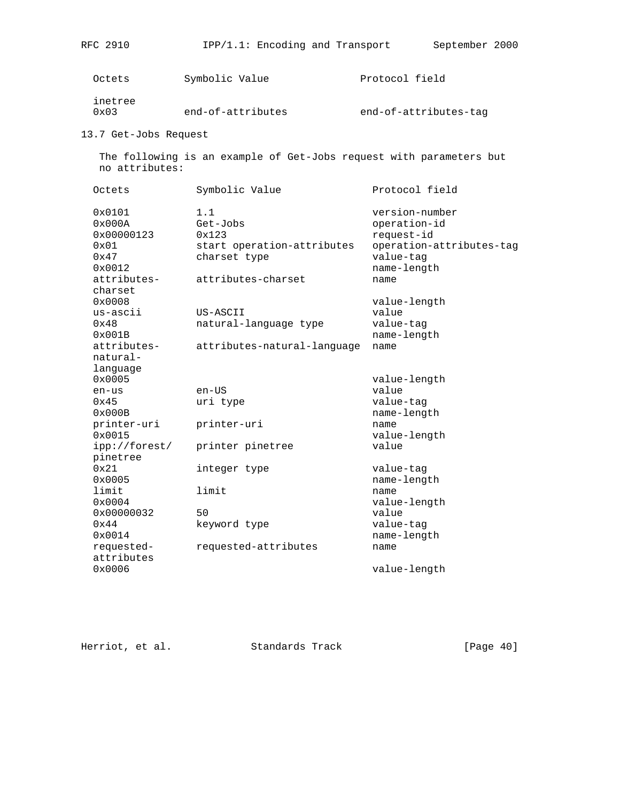| いいし ムノエリ |  |
|----------|--|
|          |  |
|          |  |

| inetree                             | Octets | Symbolic Value | Protocol field        |
|-------------------------------------|--------|----------------|-----------------------|
| end-of-attributes<br>$0 \times 0.3$ |        |                | end-of-attributes-tag |

13.7 Get-Jobs Request

 The following is an example of Get-Jobs request with parameters but no attributes:

| Octets                                                   | Symbolic Value                                                         | Protocol field                                                                                       |
|----------------------------------------------------------|------------------------------------------------------------------------|------------------------------------------------------------------------------------------------------|
| 0x0101<br>0x000A<br>0x00000123<br>0x01<br>0x47<br>0x0012 | 1.1<br>Get-Jobs<br>0x123<br>start operation-attributes<br>charset type | version-number<br>operation-id<br>request-id<br>operation-attributes-tag<br>value-tag<br>name-length |
| attributes-<br>charset                                   | attributes-charset                                                     | name                                                                                                 |
| $0 \times 0008$                                          |                                                                        | value-length                                                                                         |
| us-ascii                                                 | US-ASCII                                                               | value                                                                                                |
| 0x48<br>0x001B                                           | natural-language type                                                  | value-tag                                                                                            |
| attributes-                                              | attributes-natural-language                                            | name-length<br>name                                                                                  |
| natural-                                                 |                                                                        |                                                                                                      |
| language                                                 |                                                                        |                                                                                                      |
| 0x0005                                                   |                                                                        | value-length                                                                                         |
| en-us                                                    | $en$ -US                                                               | value                                                                                                |
| 0x45                                                     | uri type                                                               | value-tag                                                                                            |
| 0x000B                                                   |                                                                        | name-length                                                                                          |
| printer-uri                                              | printer-uri                                                            | name                                                                                                 |
| $0 \times 0015$                                          |                                                                        | value-length                                                                                         |
| ipp://forest/<br>pinetree                                | printer pinetree                                                       | value                                                                                                |
| 0x21                                                     | integer type                                                           | value-tag                                                                                            |
| 0x0005                                                   |                                                                        | name-length                                                                                          |
| limit                                                    | limit                                                                  | name                                                                                                 |
| 0x0004                                                   |                                                                        | value-length                                                                                         |
| 0x00000032                                               | 50                                                                     | value                                                                                                |
| 0x44                                                     | keyword type                                                           | value-tag                                                                                            |
| $0 \times 0014$                                          |                                                                        | name-length                                                                                          |
| requested-                                               | requested-attributes                                                   | name                                                                                                 |
| attributes<br>0x0006                                     |                                                                        | value-length                                                                                         |

Herriot, et al. Standards Track [Page 40]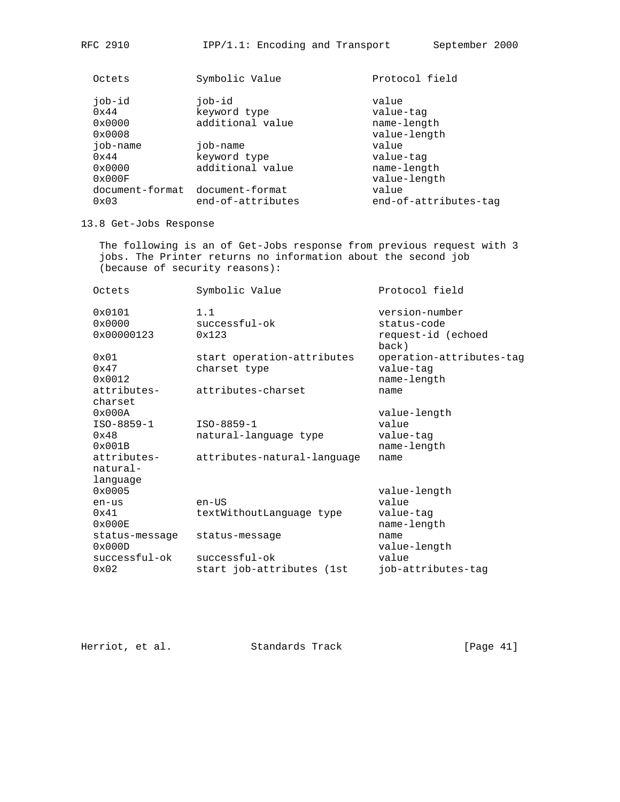| Octets        | Symbolic Value                  | Protocol field        |
|---------------|---------------------------------|-----------------------|
| job-id        | job-id                          | value                 |
| $0 \times 44$ | keyword type                    | value-tag             |
| 0x0000        | additional value                | name-length           |
| 0x0008        |                                 | value-length          |
| job-name      | job-name                        | value                 |
| 0x44          | keyword type                    | value-tag             |
| 0x0000        | additional value                | name-length           |
| 0x000F        |                                 | value-length          |
|               | document-format document-format | value                 |
| 0x03          | end-of-attributes               | end-of-attributes-tag |

## 13.8 Get-Jobs Response

 The following is an of Get-Jobs response from previous request with 3 jobs. The Printer returns no information about the second job (because of security reasons):

| Octets                                  | Symbolic Value                             | Protocol field                                               |
|-----------------------------------------|--------------------------------------------|--------------------------------------------------------------|
| $0 \times 0101$<br>0x0000<br>0x00000123 | 1.1<br>successful-ok<br>0x123              | version-number<br>status-code<br>request-id (echoed<br>back) |
| 0x01<br>0x47<br>$0 \times 0012$         | start operation-attributes<br>charset type | operation-attributes-tag<br>value-tag<br>name-length         |
| attributes-                             | attributes-charset                         | name                                                         |
| charset<br>$0 \times 000$ A             |                                            | value-length                                                 |
| ISO-8859-1                              | ISO-8859-1                                 | value                                                        |
| 0x48<br>0x001B                          | natural-language type                      | value-tag<br>name-length                                     |
| attributes-<br>natural-<br>language     | attributes-natural-language                | name                                                         |
| $0 \times 0005$                         |                                            | value-length                                                 |
| en-us                                   | $en$ –US                                   | value                                                        |
| 0x41<br>0x000E                          | textWithoutLanguage type                   | value-tag<br>name-length                                     |
| status-message<br>0x000D                | status-message                             | name<br>value-length                                         |
| successful-ok                           | $successful-ok$                            | value                                                        |
| 0x02                                    | start job-attributes (1st                  | job-attributes-tag                                           |

Herriot, et al. Standards Track [Page 41]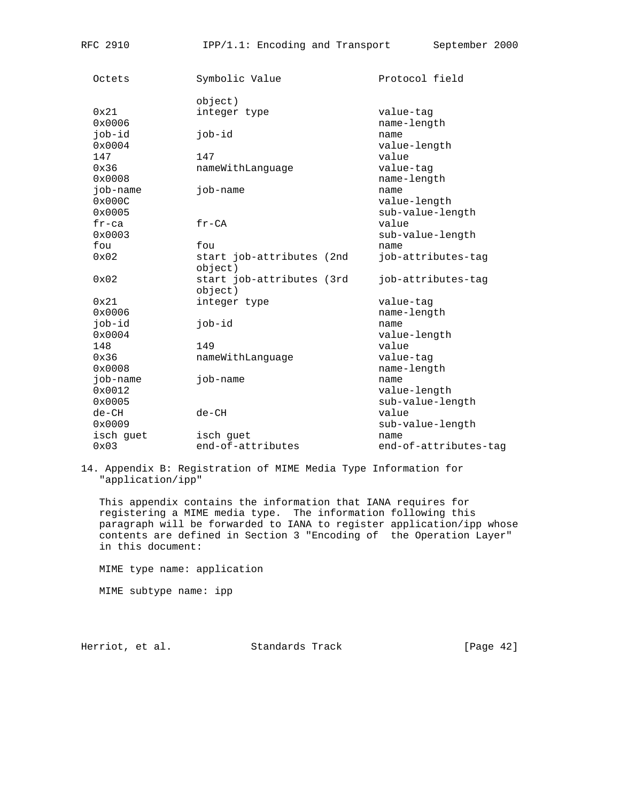| Octets                       | Symbolic Value                       | Protocol field                           |
|------------------------------|--------------------------------------|------------------------------------------|
|                              | object)                              |                                          |
| 0x21<br>0x0006               | integer type                         | value-tag<br>name-length                 |
| job-id<br>0x0004             | job-id                               | name<br>value-length                     |
| 147                          | 147                                  | value                                    |
| 0x36<br>0x0008               | nameWithLanguage                     | value-tag<br>name-length                 |
| job-name<br>0x000C           | job-name                             | name<br>value-length                     |
| 0x0005<br>$fr-ca$            | $fr-CA$                              | sub-value-length<br>value                |
| 0x0003                       |                                      |                                          |
| fou                          | fou                                  | sub-value-length<br>name                 |
| 0x02                         | start job-attributes (2nd<br>object) | job-attributes-tag                       |
| 0x02                         | start job-attributes (3rd<br>object) | job-attributes-tag                       |
| 0x21<br>0x0006               | integer type                         | value-tag<br>name-length                 |
| job-id<br>0x0004             | job-id                               | name<br>value-length                     |
| 148                          | 149                                  | value                                    |
| 0x36<br>0x0008               | nameWithLanguage                     | value-tag<br>name-length                 |
| job-name<br>0x0012<br>0x0005 | job-name                             | name<br>value-length<br>sub-value-length |
| $de-CH$<br>0x0009            | $de-CH$                              | value<br>sub-value-length                |
| isch guet                    | isch quet                            | name                                     |
| 0x03                         | end-of-attributes                    | end-of-attributes-tag                    |

14. Appendix B: Registration of MIME Media Type Information for "application/ipp"

 This appendix contains the information that IANA requires for registering a MIME media type. The information following this paragraph will be forwarded to IANA to register application/ipp whose contents are defined in Section 3 "Encoding of the Operation Layer" in this document:

MIME type name: application

MIME subtype name: ipp

Herriot, et al. Standards Track [Page 42]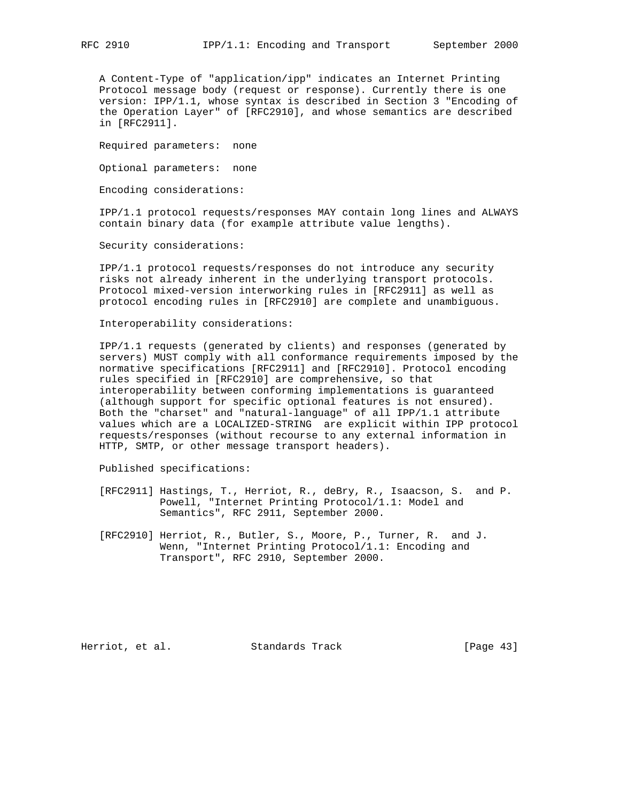A Content-Type of "application/ipp" indicates an Internet Printing Protocol message body (request or response). Currently there is one version: IPP/1.1, whose syntax is described in Section 3 "Encoding of the Operation Layer" of [RFC2910], and whose semantics are described in [RFC2911].

Required parameters: none

Optional parameters: none

Encoding considerations:

 IPP/1.1 protocol requests/responses MAY contain long lines and ALWAYS contain binary data (for example attribute value lengths).

Security considerations:

 IPP/1.1 protocol requests/responses do not introduce any security risks not already inherent in the underlying transport protocols. Protocol mixed-version interworking rules in [RFC2911] as well as protocol encoding rules in [RFC2910] are complete and unambiguous.

Interoperability considerations:

 IPP/1.1 requests (generated by clients) and responses (generated by servers) MUST comply with all conformance requirements imposed by the normative specifications [RFC2911] and [RFC2910]. Protocol encoding rules specified in [RFC2910] are comprehensive, so that interoperability between conforming implementations is guaranteed (although support for specific optional features is not ensured). Both the "charset" and "natural-language" of all IPP/1.1 attribute values which are a LOCALIZED-STRING are explicit within IPP protocol requests/responses (without recourse to any external information in HTTP, SMTP, or other message transport headers).

Published specifications:

- [RFC2911] Hastings, T., Herriot, R., deBry, R., Isaacson, S. and P. Powell, "Internet Printing Protocol/1.1: Model and Semantics", RFC 2911, September 2000.
- [RFC2910] Herriot, R., Butler, S., Moore, P., Turner, R. and J. Wenn, "Internet Printing Protocol/1.1: Encoding and Transport", RFC 2910, September 2000.

Herriot, et al. Standards Track [Page 43]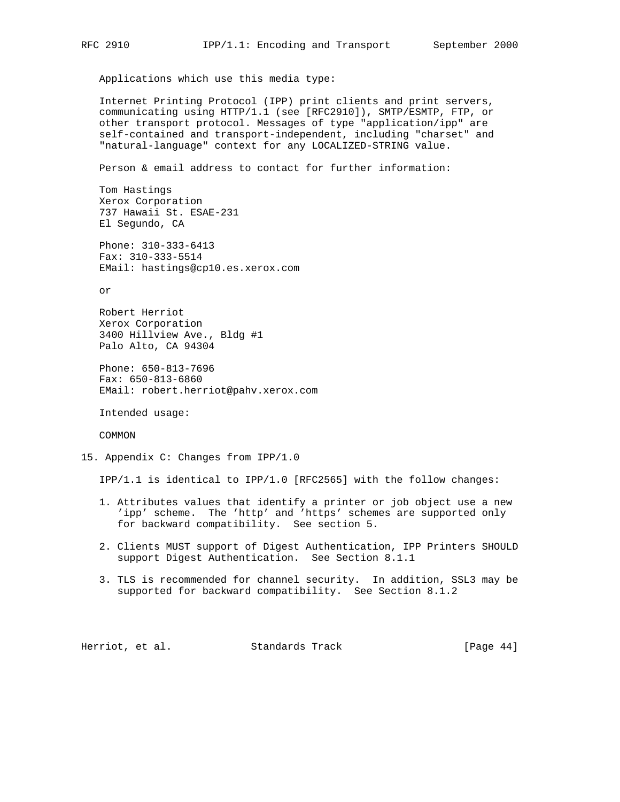Applications which use this media type:

 Internet Printing Protocol (IPP) print clients and print servers, communicating using HTTP/1.1 (see [RFC2910]), SMTP/ESMTP, FTP, or other transport protocol. Messages of type "application/ipp" are self-contained and transport-independent, including "charset" and "natural-language" context for any LOCALIZED-STRING value.

Person & email address to contact for further information:

 Tom Hastings Xerox Corporation 737 Hawaii St. ESAE-231 El Segundo, CA

 Phone: 310-333-6413 Fax: 310-333-5514 EMail: hastings@cp10.es.xerox.com

or

 Robert Herriot Xerox Corporation 3400 Hillview Ave., Bldg #1 Palo Alto, CA 94304

 Phone: 650-813-7696 Fax: 650-813-6860 EMail: robert.herriot@pahv.xerox.com

Intended usage:

COMMON

15. Appendix C: Changes from IPP/1.0

IPP/1.1 is identical to IPP/1.0 [RFC2565] with the follow changes:

- 1. Attributes values that identify a printer or job object use a new 'ipp' scheme. The 'http' and 'https' schemes are supported only for backward compatibility. See section 5.
- 2. Clients MUST support of Digest Authentication, IPP Printers SHOULD support Digest Authentication. See Section 8.1.1
- 3. TLS is recommended for channel security. In addition, SSL3 may be supported for backward compatibility. See Section 8.1.2

Herriot, et al. Standards Track [Page 44]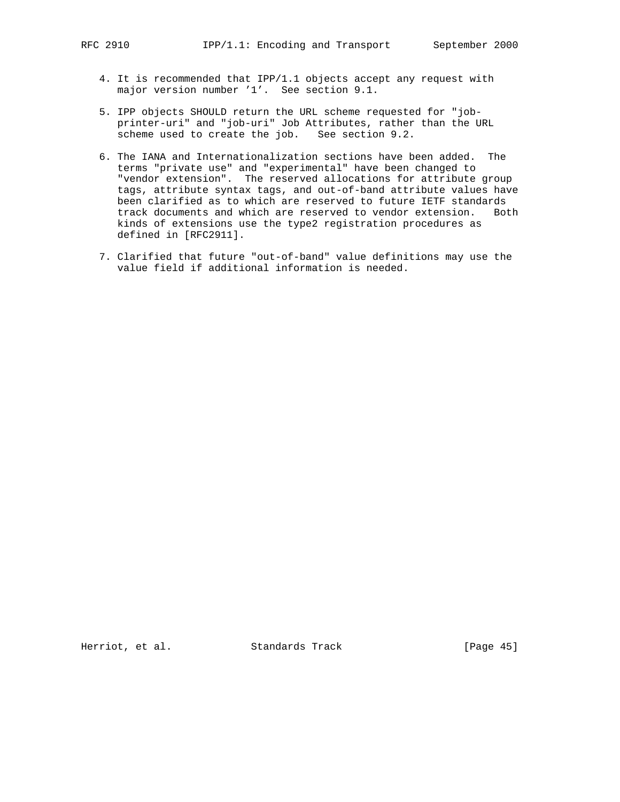- 4. It is recommended that IPP/1.1 objects accept any request with major version number '1'. See section 9.1.
- 5. IPP objects SHOULD return the URL scheme requested for "job printer-uri" and "job-uri" Job Attributes, rather than the URL scheme used to create the job. See section 9.2.
- 6. The IANA and Internationalization sections have been added. The terms "private use" and "experimental" have been changed to "vendor extension". The reserved allocations for attribute group tags, attribute syntax tags, and out-of-band attribute values have been clarified as to which are reserved to future IETF standards track documents and which are reserved to vendor extension. Both kinds of extensions use the type2 registration procedures as defined in [RFC2911].
- 7. Clarified that future "out-of-band" value definitions may use the value field if additional information is needed.